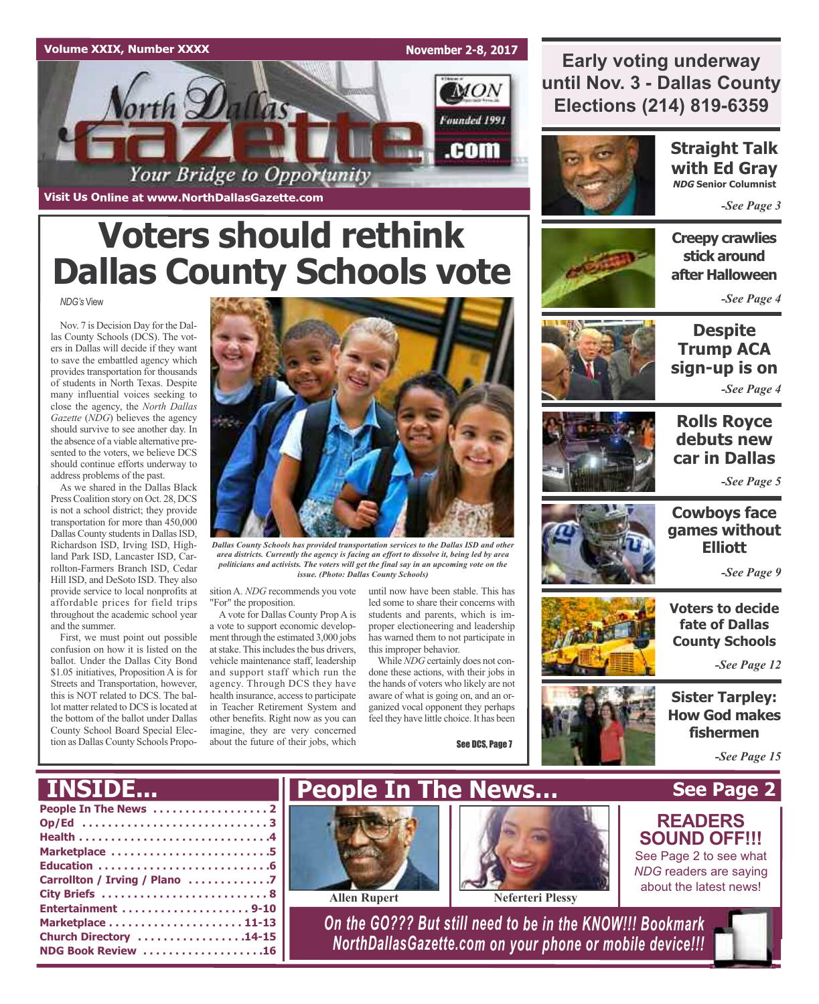

**Early voting underway until Nov. 3 - Dallas County Elections (214) 819-6359**



**Straight Talk with Ed Gray NDG Senior Columnist**

*-See Page 3*

### **Creepy crawlies stick around after Halloween**

*-See Page 4*

*NDG's* View **Voters should rethink Dallas County Schools vote**

Nov. 7 is Decision Day for the Dallas County Schools (DCS). The vot-

ers in Dallas will decide if they want to save the embattled agency which provides transportation for thousands of students in North Texas. Despite many influential voices seeking to close the agency, the *North Dallas Gazette* (*NDG*) believes the agency should survive to see another day. In the absence of a viable alternative presented to the voters, we believe DCS should continue efforts underway to address problems of the past.

As we shared in the Dallas Black Press Coalition story on Oct. 28, DCS is not a school district; they provide transportation for more than 450,000 Dallas County students in Dallas ISD. Richardson ISD, Irving ISD, Highland Park ISD, Lancaster ISD, Carrollton-Farmers Branch ISD, Cedar Hill ISD, and DeSoto ISD. They also provide service to local nonprofits at affordable prices for field trips throughout the academic school year and the summer.

First, we must point out possible confusion on how it is listed on the ballot. Under the Dallas City Bond \$1.05 initiatives, Proposition A is for Streets and Transportation, however, this is NOT related to DCS. The ballot matter related to DCS islocated at the bottom of the ballot under Dallas County School Board Special Election as Dallas County Schools Propo-



*Dallas County Schools has provided transportation services to the Dallas ISD and other area districts. Currently the agency is facing an effort to dissolve it, being led by area politicians and activists. The voters will get the final say in an upcoming vote on the issue. (Photo: Dallas County Schools)*

sition A. *NDG* recommends you vote "For" the proposition.

A vote for Dallas County Prop A is a vote to support economic development through the estimated 3,000 jobs at stake. This includes the bus drivers, vehicle maintenance staff, leadership and support staff which run the agency. Through DCS they have health insurance, access to participate in Teacher Retirement System and other benefits. Right now as you can imagine, they are very concerned about the future of their jobs, which

until now have been stable. This has led some to share their concerns with students and parents, which is improper electioneering and leadership has warned them to not participate in this improper behavior.

While *NDG* certainly does not condone these actions, with their jobs in the hands of voters who likely are not aware of what is going on, and an organized vocal opponent they perhaps feel they have little choice. It has been

See DCS, Page 7



**Despite Trump ACA sign-up is on** *-See Page 4*



### **Rolls Royce debuts new car in Dallas**

*-See Page 5*



### **Cowboys face games without Elliott**

*-See Page 9*

**Voters to decide fate of Dallas County Schools**

*-See Page 12*

**Sister Tarpley: How God makes fishermen**

**See Page 2**

**READERS SOUND OFF!!!** See Page 2 to see what *NDG* readers are saying about the latest news!

*-See Page 15*

## **INSIDE...**

| Op/Ed 3                       |
|-------------------------------|
|                               |
| Marketplace 5                 |
|                               |
| Carrollton / Irving / Plano 7 |
|                               |
|                               |
|                               |
| Church Directory 14-15        |
| NDG Book Review 16            |
|                               |





**Allen Rupert Neferteri Plessy**

*On the GO??? But still need to be in the KNOW!!! Bookmark NorthDallasGazette.com on your phone or mobile device!!!*

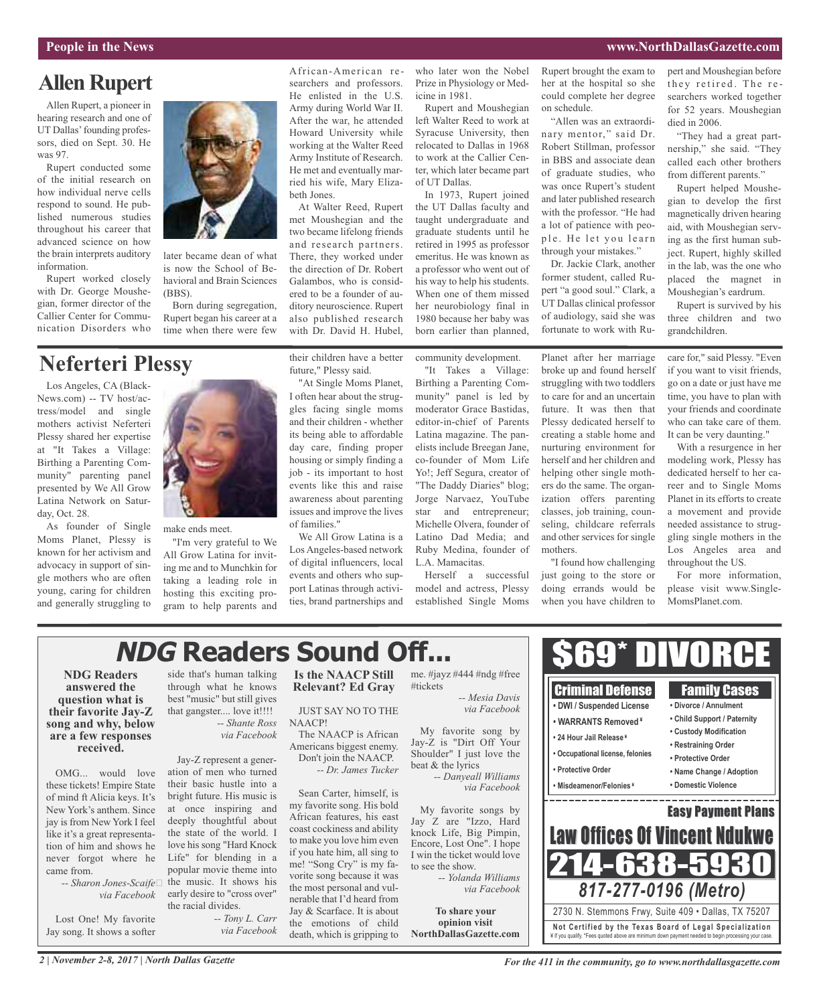### **Allen Rupert**

Allen Rupert, a pioneer in hearing research and one of UT Dallas' founding professors, died on Sept. 30. He was 97.

Rupert conducted some of the initial research on how individual nerve cells respond to sound. He published numerous studies throughout his career that advanced science on how the brain interprets auditory information.

Rupert worked closely with Dr. George Moushegian, former director of the Callier Center for Communication Disorders who

## **Neferteri Plessy**

Los Angeles, CA (Black-News.com) -- TV host/actress/model and single mothers activist Neferteri Plessy shared her expertise at "It Takes a Village: Birthing a Parenting Community" parenting panel presented by We All Grow Latina Network on Saturday, Oct. 28.

As founder of Single Moms Planet, Plessy is known for her activism and advocacy in support of single mothers who are often young, caring for children and generally struggling to



later became dean of what is now the School of Behavioral and Brain Sciences

Born during segregation, Rupert began his career at a

(BBS).

make ends meet.

"I'm very grateful to We All Grow Latina for inviting me and to Munchkin for taking a leading role in hosting this exciting program to help parents and African-American researchers and professors. He enlisted in the U.S. Army during World War II. After the war, he attended Howard University while working at the Walter Reed Army Institute of Research. He met and eventually married his wife, Mary Elizabeth Jones.

At Walter Reed, Rupert met Moushegian and the two became lifelong friends and research partners. There, they worked under the direction of Dr. Robert Galambos, who is considered to be a founder of auditory neuroscience. Rupert also published research with Dr. David H. Hubel,

future," Plessy said.

of families."

"At Single Moms Planet, I often hear about the struggles facing single moms and their children - whether its being able to affordable day care, finding proper housing or simply finding a job - its important to host events like this and raise awareness about parenting issues and improve the lives

who later won the Nobel Prize in Physiology or Medicine in 1981.

Rupert and Moushegian left Walter Reed to work at Syracuse University, then relocated to Dallas in 1968 to work at the Callier Center, which later became part of UT Dallas.

In 1973, Rupert joined the UT Dallas faculty and taught undergraduate and graduate students until he retired in 1995 as professor emeritus. He was known as a professor who went out of his way to help his students. When one of them missed her neurobiology final in 1980 because her baby was born earlier than planned,

Rupert brought the exam to her at the hospital so she could complete her degree on schedule.

"Allen was an extraordinary mentor," said Dr. Robert Stillman, professor in BBS and associate dean of graduate studies, who was once Rupert's student and later published research with the professor. "He had a lot of patience with people. He let you learn through your mistakes."

Dr. Jackie Clark, another former student, called Rupert "a good soul." Clark, a UT Dallas clinical professor of audiology, said she was fortunate to work with Rupert and Moushegian before they retired. The researchers worked together for 52 years. Moushegian died in 2006.

"They had a great partnership," she said. "They called each other brothers from different parents."

Rupert helped Moushegian to develop the first magnetically driven hearing aid, with Moushegian serving as the first human subject. Rupert, highly skilled in the lab, was the one who placed the magnet in Moushegian's eardrum.

Rupert is survived by his three children and two grandchildren.

their children have a better community development.

"It Takes a Village: Birthing a Parenting Community" panel is led by moderator Grace Bastidas, editor-in-chief of Parents Latina magazine. The panelists include Breegan Jane, co-founder of Mom Life Yo!; Jeff Segura, creator of "The Daddy Diaries" blog; Jorge Narvaez, YouTube star and entrepreneur; Michelle Olvera, founder of Latino Dad Media; and Ruby Medina, founder of L.A. Mamacitas.

Herself a successful model and actress, Plessy established Single Moms Planet after her marriage broke up and found herself struggling with two toddlers to care for and an uncertain future. It was then that Plessy dedicated herself to creating a stable home and nurturing environment for herself and her children and helping other single mothers do the same. The organization offers parenting classes, job training, counseling, childcare referrals and other services for single mothers.

"I found how challenging just going to the store or doing errands would be when you have children to

care for," said Plessy. "Even if you want to visit friends, go on a date or just have me time, you have to plan with your friends and coordinate who can take care of them. It can be very daunting."

With a resurgence in her modeling work, Plessy has dedicated herself to her career and to Single Moms Planet in its efforts to create a movement and provide needed assistance to struggling single mothers in the Los Angeles area and throughout the US.

For more information, please visit www.Single-MomsPlanet.com.

# **NDG Readers Sound Off...**

**NDG Readers answered the question what is their favorite Jay-Z song and why, below are a few responses received.**

OMG... would love these tickets! Empire State of mind ft Alicia keys. It's New York's anthem. Since jay is from New York I feel like it's a great representation of him and shows he never forgot where he came from.

> *-- Sharon Jones-Scaife via Facebook*

Lost One! My favorite Jay song. It shows a softer

side that's human talking through what he knows best "music" but still gives that gangster.... love it!!!! *-- Shante Ross via Facebook*

Jay-Z represent a generation of men who turned their basic hustle into a bright future. His music is at once inspiring and deeply thoughtful about the state of the world. I love his song "Hard Knock Life" for blending in a popular movie theme into the music. It shows his early desire to "cross over" the racial divides.

*-- Tony L. Carr via Facebook*

**Is the NAACP Still Relevant? Ed Gray**

We All Grow Latina is a Los Angeles-based network of digital influencers, local events and others who support Latinas through activities, brand partnerships and

JUST SAY NO TO THE NAACP!

The NAACP is African Americans biggest enemy. Don't join the NAACP. *-- Dr. James Tucker*

Sean Carter, himself, is my favorite song. His bold African features, his east coast cockiness and ability to make you love him even if you hate him, all sing to me! "Song Cry" is my favorite song because it was the most personal and vulnerable that I'd heard from Jay & Scarface. It is about the emotions of child death, which is gripping to

#tickets *-- Mesia Davis*

Jay-Z is "Dirt Off Your Shoulder" I just love the beat & the lyrics *-- Danyeall Williams*

My favorite songs by Jay Z are "Izzo, Hard knock Life, Big Pimpin, Encore, Lost One". I hope I win the ticket would love to see the show.

**To share your opinion visit NorthDallasGazette.com**



*For the 411 in the community, go to www.northdallasgazette.com*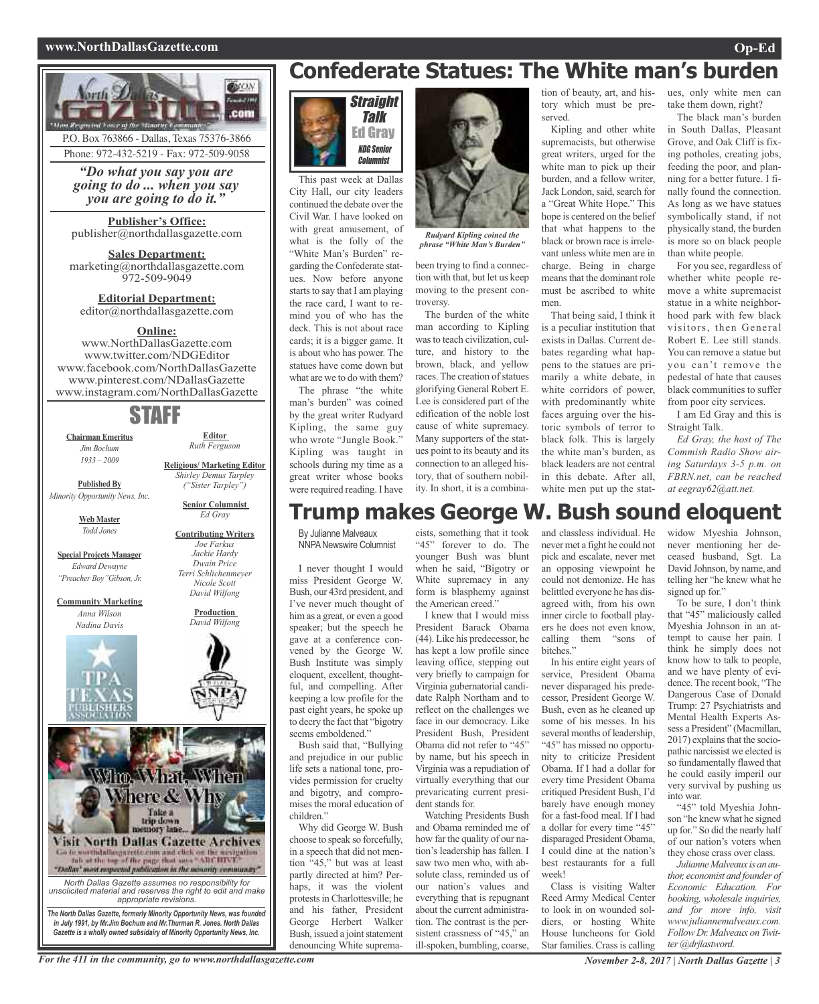#### **www.NorthDallasGazette.com Op-Ed**



P.O. Box 763866 - Dallas, Texas 75376-3866 Phone: 972-432-5219 - Fax: 972-509-9058

*"Do what you say you are going to do ... when you say you are going to do it."*

**Publisher's Office:** publisher@northdallasgazette.com

**Sales Department:** marketing@northdallasgazette.com 972-509-9049

**Editorial Department:** editor@northdallasgazette.com

#### **Online:**

www.NorthDallasGazette.com www.twitter.com/NDGEditor www.facebook.com/NorthDallasGazette www.pinterest.com/NDallasGazette www.instagram.com/NorthDallasGazette

## STAFF

**Chairman Emeritus** *Jim Bochum 1933 – 2009*

**Editor** *Ruth Ferguson*

**Religious/ Marketing Editor** *Shirley Demus Tarpley ("Sister Tarpley")* **Senior Columnist** *Ed Gray*

**Published By** *Minority Opportunity News, Inc.*

> **Web Master** *Todd Jones*

**Special Projects Manager** *Edward Dewayne "Preacher Boy"Gibson, Jr.*

**Community Marketing** *Anna Wilson Nadina Davis*



**Contributing Writers** *Joe Farkus Jackie Hardy Dwain Price Terri Schlichenmeyer Nicole Scott David Wilfong*

> **Production** *David Wilfong*



**Confederate Statues: The White man's burden**



This past week at Dallas City Hall, our city leaders continued the debate over the Civil War. I have looked on with great amusement, of what is the folly of the "White Man's Burden" regarding the Confederate statues. Now before anyone starts to say that I am playing the race card, I want to remind you of who has the deck. This is not about race cards; it is a bigger game. It is about who has power. The statues have come down but what are we to do with them?

The phrase "the white man's burden" was coined by the great writer Rudyard Kipling, the same guy who wrote "Jungle Book." Kipling was taught in schools during my time as a great writer whose books were required reading. I have



*Rudyard Kipling coined the phrase "White Man's Burden"*

been trying to find a connection with that, but let us keep moving to the present controversy.

The burden of the white man according to Kipling was to teach civilization, culture, and history to the brown, black, and yellow races. The creation of statues glorifying General Robert E. Lee is considered part of the edification of the noble lost cause of white supremacy. Many supporters of the statues point to its beauty and its connection to an alleged history, that of southern nobility. In short, it is a combina-

tion of beauty, art, and history which must be preserved.

Kipling and other white supremacists, but otherwise great writers, urged for the white man to pick up their burden, and a fellow writer, Jack London, said, search for a "Great White Hope." This hope is centered on the belief that what happens to the black or brown race is irrelevant unless white men are in charge. Being in charge meansthat the dominant role must be ascribed to white men.

That being said, I think it is a peculiar institution that exists in Dallas. Current debates regarding what happens to the statues are primarily a white debate, in white corridors of power, with predominantly white faces arguing over the historic symbols of terror to black folk. This is largely the white man's burden, as black leaders are not central in this debate. After all, white men put up the statues, only white men can take them down, right?

The black man's burden in South Dallas, Pleasant Grove, and Oak Cliff is fixing potholes, creating jobs, feeding the poor, and planning for a better future. I finally found the connection. As long as we have statues symbolically stand, if not physically stand, the burden is more so on black people than white people.

For you see, regardless of whether white people remove a white supremacist statue in a white neighborhood park with few black visitors, then General Robert E. Lee still stands. You can remove a statue but you can't remove the pedestal of hate that causes black communities to suffer from poor city services.

I am Ed Gray and this is Straight Talk.

*Ed Gray, the host of The Commish Radio Show airing Saturdays 3-5 p.m. on FBRN.net, can be reached at eegray62@att.net.*

### **Trump makes George W. Bush sound eloquent**

By Julianne Malveaux **NNPA Newswire Columnist** 

I never thought I would miss President George W. Bush, our 43rd president, and I've never much thought of him as a great, or even a good speaker; but the speech he gave at a conference convened by the George W. Bush Institute was simply eloquent, excellent, thoughtful, and compelling. After keeping a low profile for the past eight years, he spoke up to decry the fact that "bigotry seems emboldened."

Bush said that, "Bullying and prejudice in our public life sets a national tone, provides permission for cruelty and bigotry, and compromises the moral education of children."

Why did George W. Bush choose to speak so forcefully, in a speech that did not mention "45," but was at least partly directed at him? Perhaps, it was the violent protestsin Charlottesville; he and his father, President George Herbert Walker Bush, issued a joint statement denouncing White supremacists, something that it took "45" forever to do. The younger Bush was blunt when he said, "Bigotry or White supremacy in any form is blasphemy against the American creed."

I knew that I would miss President Barack Obama (44). Like his predecessor, he has kept a low profile since leaving office, stepping out very briefly to campaign for Virginia gubernatorial candidate Ralph Northam and to reflect on the challenges we face in our democracy. Like President Bush, President Obama did not refer to "45" by name, but his speech in Virginia was a repudiation of virtually everything that our prevaricating current president stands for.

Watching Presidents Bush and Obama reminded me of how far the quality of our nation's leadership has fallen. I saw two men who, with absolute class, reminded us of our nation's values and everything that is repugnant about the current administration. The contrast is the persistent crassness of "45," an ill-spoken, bumbling, coarse,

and classless individual. He never met a fight he could not pick and escalate, never met an opposing viewpoint he could not demonize. He has belittled everyone he has disagreed with, from his own inner circle to football players he does not even know, calling them "sons of hitches<sup>:</sup>

In his entire eight years of service, President Obama never disparaged his predecessor, President George W. Bush, even as he cleaned up some of his messes. In his several months of leadership, "45" has missed no opportunity to criticize President Obama. If I had a dollar for every time President Obama critiqued President Bush, I'd barely have enough money for a fast-food meal. If I had a dollar for every time "45" disparaged President Obama, I could dine at the nation's best restaurants for a full week!

Class is visiting Walter Reed Army Medical Center to look in on wounded soldiers, or hosting White House luncheons for Gold Star families. Crass is calling widow Myeshia Johnson, never mentioning her deceased husband, Sgt. La David Johnson, by name, and telling her "he knew what he signed up for."

To be sure, I don't think that "45" maliciously called Myeshia Johnson in an attempt to cause her pain. I think he simply does not know how to talk to people, and we have plenty of evidence.The recent book, "The Dangerous Case of Donald Trump: 27 Psychiatrists and Mental Health Experts Assess a President" (Macmillan, 2017) explains that the sociopathic narcissist we elected is so fundamentally flawed that he could easily imperil our very survival by pushing us into war.

"45" told Myeshia Johnson "he knew what he signed up for." So did the nearly half of our nation's voters when they chose crass over class.

*JulianneMalveaux is an author, economist and founder of Economic Education. For booking, wholesale inquiries, and for more info, visit www.juliannemalveaux.com. Follow Dr. Malveaux on Twitter @drjlastword.*

For the 411 in the community, go to www.northdallasgazette.com November 2-8, 2017 | North Dallas Gazette | 3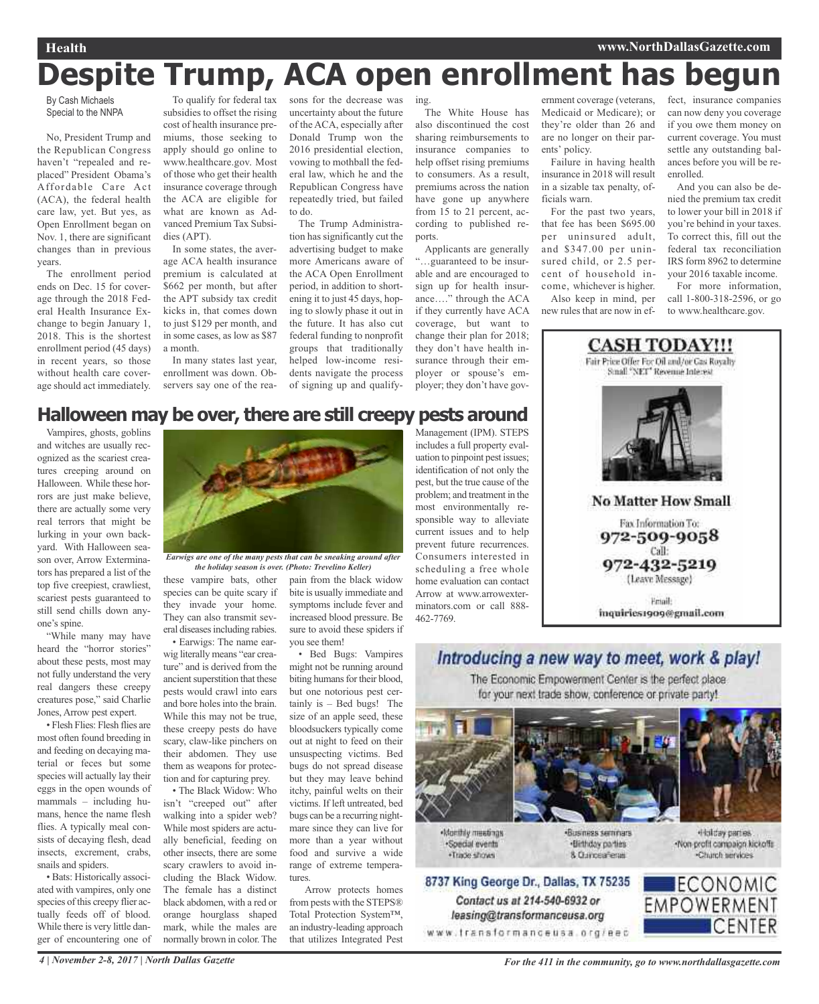# **Despite Trump, ACA open enrollment has begun**

By Cash Michaels Special to the NNPA

No, President Trump and the Republican Congress haven't "repealed and replaced" President Obama's Affordable Care Act (ACA), the federal health care law, yet. But yes, as Open Enrollment began on Nov. 1, there are significant changes than in previous years.

The enrollment period ends on Dec. 15 for coverage through the 2018 Federal Health Insurance Exchange to begin January 1, 2018. This is the shortest enrollment period (45 days) in recent years, so those without health care coverage should act immediately.

To qualify for federal tax subsidies to offset the rising cost of health insurance premiums, those seeking to apply should go online to www.healthcare.gov. Most of those who get their health insurance coverage through the ACA are eligible for what are known as Advanced Premium Tax Subsidies (APT).

In some states, the average ACA health insurance premium is calculated at \$662 per month, but after the APT subsidy tax credit kicks in, that comes down to just \$129 per month, and in some cases, as low as \$87 a month.

In many states last year, enrollment was down. Observers say one of the rea-

sons for the decrease was uncertainty about the future of the ACA, especially after Donald Trump won the 2016 presidential election, vowing to mothball the federal law, which he and the Republican Congress have repeatedly tried, but failed to do.

The Trump Administration has significantly cut the advertising budget to make more Americans aware of the ACA Open Enrollment period, in addition to shortening it to just 45 days, hoping to slowly phase it out in the future. It has also cut federal funding to nonprofit groups that traditionally helped low-income residents navigate the process of signing up and qualifying.

The White House has also discontinued the cost sharing reimbursements to insurance companies to help offset rising premiums to consumers. As a result, premiums across the nation have gone up anywhere from 15 to 21 percent, according to published reports.

Applicants are generally "…guaranteed to be insurable and are encouraged to sign up for health insurance…." through the ACA if they currently have ACA coverage, but want to change their plan for 2018; they don't have health insurance through their employer or spouse's employer; they don't have gov-

ernment coverage (veterans, Medicaid or Medicare); or they're older than 26 and are no longer on their parents' policy.

Failure in having health insurance in 2018 will result in a sizable tax penalty, officials warn.

For the past two years, that fee has been \$695.00 per uninsured adult, and \$347.00 per uninsured child, or 2.5 percent of household income, whichever is higher.

Also keep in mind, per new rules that are now in effect, insurance companies can now deny you coverage if you owe them money on current coverage. You must settle any outstanding balances before you will be reenrolled.

And you can also be denied the premium tax credit to lower your bill in 2018 if you're behind in your taxes. To correct this, fill out the federal tax reconciliation IRS form 8962 to determine your 2016 taxable income.

For more information, call 1-800-318-2596, or go to www.healthcare.gov.



### **Halloween may be over, there are still creepy pests around**

Vampires, ghosts, goblins and witches are usually recognized as the scariest creatures creeping around on Halloween. While these horrors are just make believe, there are actually some very real terrors that might be lurking in your own backyard. With Halloween season over, Arrow Exterminators has prepared a list of the top five creepiest, crawliest, scariest pests guaranteed to still send chills down anyone's spine.

"While many may have heard the "horror stories" about these pests, most may not fully understand the very real dangers these creepy creatures pose," said Charlie Jones, Arrow pest expert.

• Flesh Flies: Flesh flies are most often found breeding in and feeding on decaying material or feces but some species will actually lay their eggs in the open wounds of mammals – including humans, hence the name flesh flies. A typically meal consists of decaying flesh, dead insects, excrement, crabs, snails and spiders.

• Bats: Historically associated with vampires, only one species of this creepy flier actually feeds off of blood. While there is very little danger of encountering one of



*Earwigs are one of the many pests that can be sneaking around after the holiday season is over. (Photo: Trevelino Keller)*

these vampire bats, other species can be quite scary if they invade your home. They can also transmit several diseases including rabies.

• Earwigs: The name earwig literally means "ear creature" and is derived from the ancient superstition that these pests would crawl into ears and bore holes into the brain. While this may not be true, these creepy pests do have scary, claw-like pinchers on their abdomen. They use them as weapons for protection and for capturing prey.

• The Black Widow: Who isn't "creeped out" after walking into a spider web? While most spiders are actually beneficial, feeding on other insects, there are some scary crawlers to avoid including the Black Widow. The female has a distinct black abdomen, with a red or orange hourglass shaped mark, while the males are normally brown in color.The

pain from the black widow bite is usually immediate and symptoms include fever and increased blood pressure. Be sure to avoid these spiders if you see them!

• Bed Bugs: Vampires might not be running around biting humans for their blood, but one notorious pest certainly is – Bed bugs! The size of an apple seed, these bloodsuckers typically come out at night to feed on their unsuspecting victims. Bed bugs do not spread disease but they may leave behind itchy, painful welts on their victims. If left untreated, bed bugs can be a recurring nightmare since they can live for more than a year without food and survive a wide range of extreme temperatures.

Arrow protects homes from pests with the STEPS® Total Protection System™, an industry-leading approach that utilizes Integrated Pest Management (IPM). STEPS includes a full property evaluation to pinpoint pest issues; identification of not only the pest, but the true cause of the problem; and treatment in the most environmentally responsible way to alleviate current issues and to help prevent future recurrences. Consumers interested in scheduling a free whole home evaluation can contact Arrow at www.arrowexterminators.com or call 888- 462-7769.

# The Economic Empowerment Center is the perfect place for your next trade show, conference or private party!

Introducing a new way to meet, work & play!



Monthly meetings ·Special events ·Trade shows





Contact us at 214-540-6932 or

leasing@transformanceusa.org

«Business seminars ·Birthday parties 8. Curicea Tenas

Holday parties -Non-profit compaign kickoffs Charch services

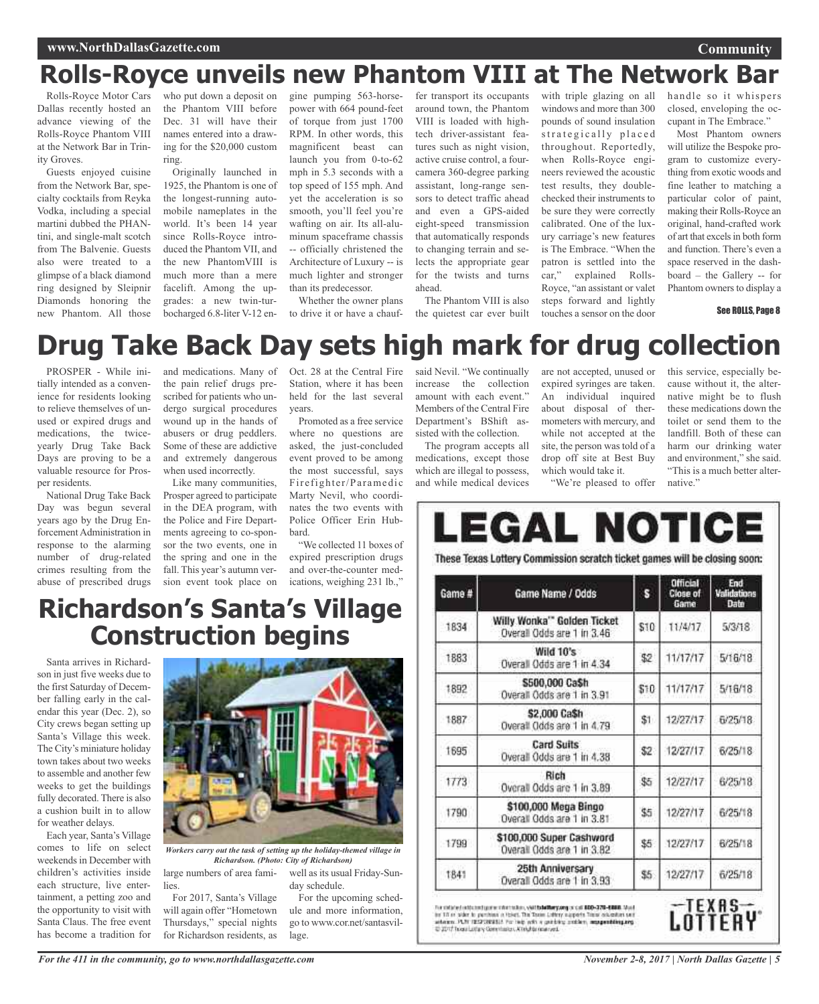# **Rolls-Royce unveils new Phantom VIII at The Network Bar**

Rolls-Royce Motor Cars Dallas recently hosted an advance viewing of the Rolls-Royce Phantom VIII at the Network Bar in Trinity Groves.

Guests enjoyed cuisine from the Network Bar, specialty cocktails from Reyka Vodka, including a special martini dubbed the PHANtini, and single-malt scotch from The Balvenie. Guests also were treated to a glimpse of a black diamond ring designed by Sleipnir Diamonds honoring the new Phantom. All those

who put down a deposit on the Phantom VIII before Dec. 31 will have their names entered into a drawing for the \$20,000 custom ring.

Originally launched in 1925, the Phantom is one of the longest-running automobile nameplates in the world. It's been 14 year since Rolls-Royce introduced the Phantom VII, and the new PhantomVIII is much more than a mere facelift. Among the upgrades: a new twin-turbocharged 6.8-liter V-12 en-

gine pumping 563-horsepower with 664 pound-feet of torque from just 1700 RPM. In other words, this magnificent beast can launch you from 0-to-62 mph in 5.3 seconds with a top speed of 155 mph. And yet the acceleration is so smooth, you'll feel you're wafting on air. Its all-aluminum spaceframe chassis -- officially christened the Architecture of Luxury -- is much lighter and stronger than its predecessor.

Whether the owner plans to drive it or have a chauf-

fer transport its occupants around town, the Phantom VIII is loaded with hightech driver-assistant features such as night vision, active cruise control, a fourcamera 360-degree parking assistant, long-range sensors to detect traffic ahead and even a GPS-aided eight-speed transmission that automatically responds to changing terrain and selects the appropriate gear for the twists and turns ahead.

The Phantom VIII is also the quietest car ever built with triple glazing on all windows and more than 300 pounds of sound insulation strategically placed throughout. Reportedly, when Rolls-Royce engineers reviewed the acoustic test results, they doublechecked their instruments to be sure they were correctly calibrated. One of the luxury carriage's new features is The Embrace. "When the patron is settled into the car," explained Rolls-Royce, "an assistant or valet steps forward and lightly touches a sensor on the door

handle so it whispers closed, enveloping the occupant in The Embrace."

**Community**

Most Phantom owners will utilize the Bespoke program to customize everything from exotic woods and fine leather to matching a particular color of paint, making their Rolls-Royce an original, hand-crafted work of art that excels in both form and function. There's even a space reserved in the dashboard – the Gallery -- for Phantom owners to display a

#### See ROLLS, Page 8

# **Drug Take Back Day sets high mark for drug collection**

PROSPER - While initially intended as a convenience for residents looking to relieve themselves of unused or expired drugs and medications, the twiceyearly Drug Take Back Days are proving to be a valuable resource for Prosper residents.

National Drug Take Back Day was begun several years ago by the Drug Enforcement Administration in response to the alarming number of drug-related crimes resulting from the abuse of prescribed drugs

and medications. Many of the pain relief drugs prescribed for patients who undergo surgical procedures wound up in the hands of abusers or drug peddlers. Some of these are addictive and extremely dangerous when used incorrectly.

Like many communities, Prosper agreed to participate in the DEA program, with the Police and Fire Departments agreeing to co-sponsor the two events, one in the spring and one in the fall. This year's autumn version event took place on Oct. 28 at the Central Fire Station, where it has been held for the last several years.

Promoted as a free service where no questions are asked, the just-concluded event proved to be among the most successful, says Fire fighter/Paramedic Marty Nevil, who coordinates the two events with Police Officer Erin Hubbard.

"We collected 11 boxes of expired prescription drugs and over-the-counter medications, weighing 231 lb.,"

said Nevil. "We continually increase the collection amount with each event." Members of the Central Fire Department's BShift assisted with the collection.

The program accepts all medications, except those which are illegal to possess, and while medical devices

are not accepted, unused or expired syringes are taken. An individual inquired about disposal of thermometers with mercury, and while not accepted at the site, the person was told of a drop off site at Best Buy which would take it. "We're pleased to offer this service, especially because without it, the alternative might be to flush these medications down the toilet or send them to the landfill. Both of these can harm our drinking water and environment," she said. "This is a much better alternative."

| Game # | Game Name / Odds                                          | s    | Official<br>Close of<br>Game | End<br>Validations<br>Date |
|--------|-----------------------------------------------------------|------|------------------------------|----------------------------|
| 1834   | Willy Wonka'" Golden Ticket<br>Overall Odds are 1 in 3.46 | \$10 | 11/4/17                      | 5/3/18                     |
| 1883   | Wild 10's<br>Overall Odds are 1 in 4.34                   | \$2  | 11/17/17                     | 5/16/18                    |
| 1892   | \$500,000 Ca\$h<br>Overall Odds are 1 in 3.91             | \$10 | 11/17/17                     | 5/16/18                    |
| 1887   | \$2,000 Ca\$h<br>Overall Odds are 1 in 4.79               | \$1  | 12/27/17                     | 6/25/18                    |
| 1695   | Card Suits<br>Overall Odds are 1 in 4.38                  | \$2  | 12/27/17                     | 6/25/18                    |
| 1773   | Rich<br>Overall Odds are 1 in 3.89                        | \$5  | 12/27/17                     | 6/25/18                    |
| 1790   | \$100,000 Mega Bingo<br>Overall Odds are 1 in 3.81        | \$5  | 12/27/17                     | 6/25/18                    |
| 1799   | \$100,000 Super Cashword<br>Overall Odds are 1 in 3.82    | \$5  | 12/27/17                     | 6/25/18                    |
| 1841   | 25th Anniversary<br>Overall Odds are 1 in 3.93            | \$5. | 12/27/17                     | 6/25/18                    |

in 10 m sider to perchase a tiser. The Toxin Labiry supports Taxar accadem sen<br>Atlasm: PCN 1857(2013).1: Por high with a getricing cration, a**nsignationg.org** @ 2017 Telephoney Constitutes Attrights married.

# **Richardson's Santa's Village Construction begins**

Santa arrives in Richardson in just five weeks due to the first Saturday of December falling early in the calendar this year (Dec. 2), so City crews began setting up Santa's Village this week. The City's miniature holiday town takes about two weeks to assemble and another few weeks to get the buildings fully decorated. There is also a cushion built in to allow for weather delays.

Each year, Santa's Village comes to life on select weekends in December with children's activities inside each structure, live entertainment, a petting zoo and the opportunity to visit with Santa Claus. The free event has become a tradition for



*Workers carry out the task of setting up the holiday-themed village in Richardson. (Photo: City of Richardson)*

lage.

large numbers of area fami- well as its usual Friday-Sunday schedule. For the upcoming sched-

> ule and more information, go to www.cor.net/santasvil-

For 2017, Santa's Village will again offer "Hometown Thursdays," special nights for Richardson residents, as

LOTTERY

lies.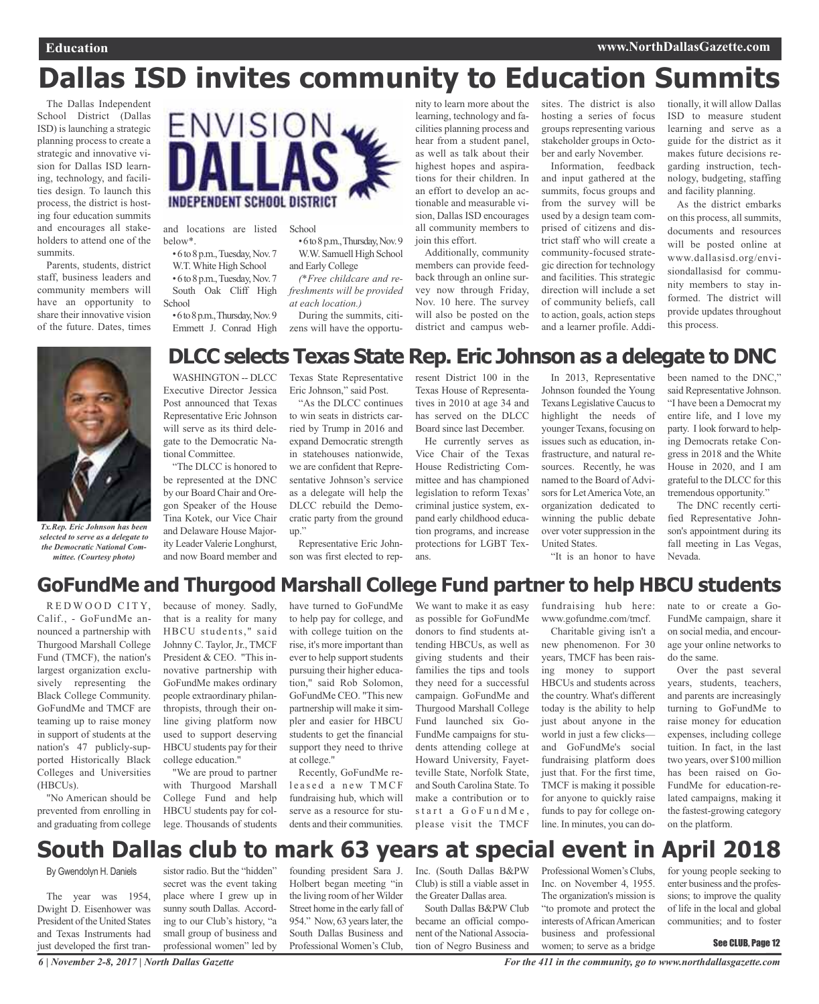# **Dallas ISD invites community to Education Summits**

The Dallas Independent School District (Dallas ISD) is launching a strategic planning process to create a strategic and innovative vision for Dallas ISD learning, technology, and facilities design. To launch this process, the district is hosting four education summits and encourages all stakeholders to attend one of the summits.

Parents, students, district staff, business leaders and community members will have an opportunity to share their innovative vision of the future. Dates, times



and locations are listed below\*.

•6to8p.m.,Tuesday,Nov.7 W.T. White High School •6to8p.m.,Tuesday,Nov.7 South Oak Cliff High **School** 

•6to8p.m.,Thursday,Nov.9 Emmett J. Conrad High

School

•6to8p.m.,Thursday,Nov.9 W.W. Samuell High School and Early College

*(\*Free childcare and refreshments will be provided at each location.)*

During the summits, citizens will have the opportunity to learn more about the learning, technology and facilities planning process and hear from a student panel, as well as talk about their highest hopes and aspirations for their children. In an effort to develop an actionable and measurable vision, Dallas ISD encourages all community members to join this effort.

Additionally, community members can provide feedback through an online survey now through Friday, Nov. 10 here. The survey will also be posted on the district and campus websites. The district is also hosting a series of focus groups representing various stakeholder groups in October and early November.

Information, feedback and input gathered at the summits, focus groups and from the survey will be used by a design team comprised of citizens and district staff who will create a community-focused strategic direction for technology and facilities. This strategic direction will include a set of community beliefs, call to action, goals, action steps and a learner profile. Addi-

tionally, it will allow Dallas ISD to measure student learning and serve as a guide for the district as it makes future decisions regarding instruction, technology, budgeting, staffing and facility planning.

As the district embarks on this process, all summits, documents and resources will be posted online at www.dallasisd.org/envisiondallasisd for community members to stay informed. The district will provide updates throughout this process.



*Tx.Rep. Eric Johnson has been selected to serve as a delegate to the Democratic National Committee. (Courtesy photo)*

#### **DLCC selects Texas State Rep. Eric Johnson as a delegate to DNC** WASHINGTON -- DLCC Texas State Representative resent District 100 in the

Executive Director Jessica Post announced that Texas Representative Eric Johnson will serve as its third delegate to the Democratic National Committee.

"The DLCC is honored to be represented at the DNC by our Board Chair and Oregon Speaker of the House Tina Kotek, our Vice Chair and Delaware House Majority Leader Valerie Longhurst, and now Board member and

Eric Johnson," said Post.

"As the DLCC continues to win seats in districts carried by Trump in 2016 and expand Democratic strength in statehouses nationwide, we are confident that Representative Johnson's service as a delegate will help the DLCC rebuild the Democratic party from the ground up."

Representative Eric Johnson was first elected to rep-

Texas House of Representatives in 2010 at age 34 and has served on the DLCC Board since last December.

He currently serves as Vice Chair of the Texas House Redistricting Committee and has championed legislation to reform Texas' criminal justice system, expand early childhood education programs, and increase protections for LGBT Texans.

In 2013, Representative Johnson founded the Young Texans Legislative Caucus to highlight the needs of younger Texans, focusing on issues such as education, infrastructure, and natural resources. Recently, he was named to the Board of Advisors for Let America Vote, an organization dedicated to winning the public debate over voter suppression in the United States.

been named to the DNC," said Representative Johnson. "I have been a Democrat my entire life, and I love my party. I look forward to helping Democrats retake Congress in 2018 and the White House in 2020, and I am grateful to the DLCC for this tremendous opportunity."

The DNC recently certified Representative Johnson's appointment during its fall meeting in Las Vegas, Nevada.

#### "It is an honor to have

### **GoFundMe and Thurgood Marshall College Fund partner to help HBCU students**

RED WOOD CITY, Calif., - GoFundMe announced a partnership with Thurgood Marshall College Fund (TMCF), the nation's largest organization exclusively representing the Black College Community. GoFundMe and TMCF are teaming up to raise money in support of students at the nation's 47 publicly-supported Historically Black Colleges and Universities (HBCUs).

"No American should be prevented from enrolling in and graduating from college

because of money. Sadly, that is a reality for many HBCU students," said Johnny C. Taylor, Jr., TMCF President & CEO. "This innovative partnership with GoFundMe makes ordinary people extraordinary philanthropists, through their online giving platform now used to support deserving HBCU students pay for their college education."

"We are proud to partner with Thurgood Marshall College Fund and help HBCU students pay for college. Thousands of students

have turned to GoFundMe to help pay for college, and with college tuition on the rise, it's more important than ever to help support students pursuing their higher education," said Rob Solomon, GoFundMe CEO. "This new partnership will make it simpler and easier for HBCU students to get the financial support they need to thrive at college." Recently, GoFundMe re-

leased a new TMCF fundraising hub, which will serve as a resource for students and their communities.

We want to make it as easy as possible for GoFundMe donors to find students attending HBCUs, as well as giving students and their families the tips and tools they need for a successful campaign. GoFundMe and Thurgood Marshall College Fund launched six Go-FundMe campaigns for students attending college at Howard University, Fayetteville State, Norfolk State, and South Carolina State. To make a contribution or to  $start$  a  $GoF$ und Me. please visit the TMCF

fundraising hub here:

www.gofundme.com/tmcf. Charitable giving isn't a new phenomenon. For 30 years, TMCF has been raising money to support HBCUs and students across the country. What's different today is the ability to help just about anyone in the world in just a few clicks and GoFundMe's social fundraising platform does just that. For the first time, TMCF is making it possible for anyone to quickly raise funds to pay for college online. In minutes, you can donate to or create a Go-FundMe campaign, share it on social media, and encourage your online networks to do the same.

Over the past several years, students, teachers, and parents are increasingly turning to GoFundMe to raise money for education expenses, including college tuition. In fact, in the last two years, over \$100 million has been raised on Go-FundMe for education-related campaigns, making it the fastest-growing category on the platform.

# **South Dallas club to mark 63 years at special event in April 2018**

By Gwendolyn H. Daniels

The year was 1954, Dwight D. Eisenhower was President of the United States and Texas Instruments had just developed the first tran-

sistor radio. But the "hidden" secret was the event taking place where I grew up in sunny south Dallas. According to our Club's history, "a small group of business and professional women" led by

founding president Sara J. Holbert began meeting "in the living room of her Wilder Street home in the early fall of 954." Now, 63 years later, the South Dallas Business and Professional Women's Club,

Inc. (South Dallas B&PW Club) is still a viable asset in the Greater Dallas area.

South Dallas B&PW Club became an official component of the National Association of Negro Business and

Professional Women's Clubs, Inc. on November 4, 1955. The organization's mission is "to promote and protect the interests of African American business and professional women; to serve as a bridge

for young people seeking to enter business and the professions; to improve the quality of life in the local and global communities; and to foster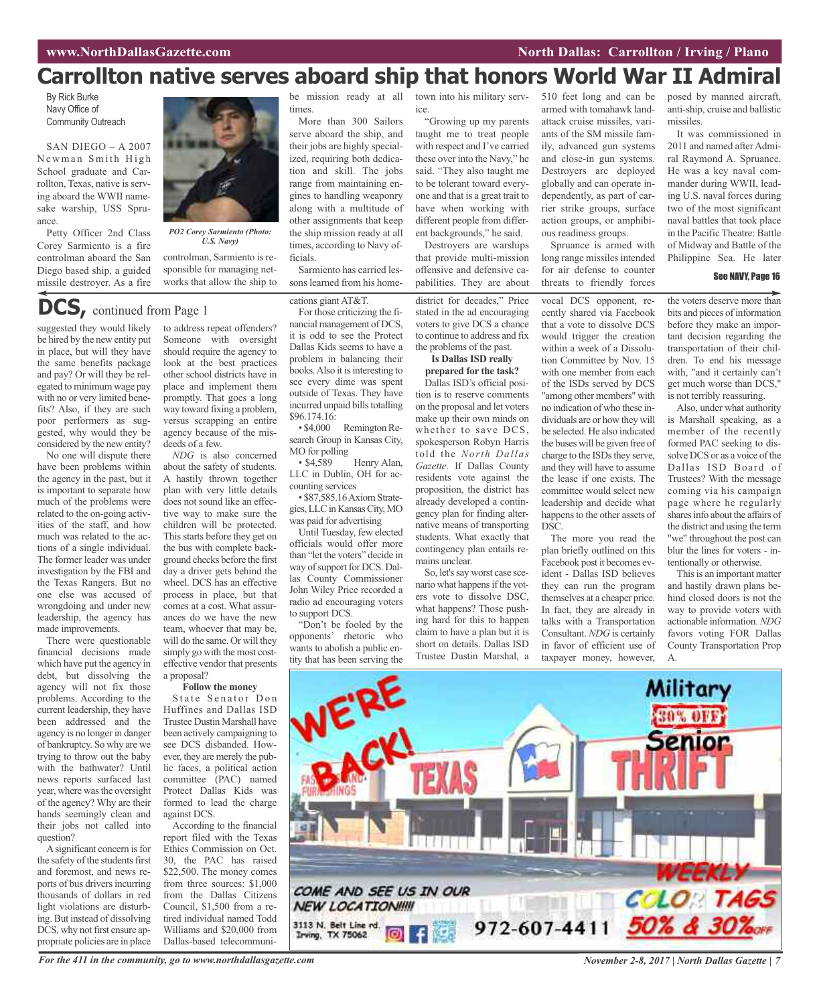# **Carrollton native serves aboard ship that honors World War II Admiral**

By Rick Burke Navy Office of Community Outreach

SAN DIEGO – A 2007 Newman Smith High School graduate and Carrollton, Texas, native is serving aboard the WWII namesake warship, USS Spruance.

Petty Officer 2nd Class Corey Sarmiento is a fire controlman aboard the San Diego based ship, a guided missile destroyer. As a fire



*PO2 Corey Sarmiento (Photo: U.S. Navy)*

controlman, Sarmiento is responsible for managing networks that allow the ship to

### **DCS,** continued from Page <sup>1</sup>

suggested they would likely be hired by the new entity put in place, but will they have the same benefits package and pay? Or will they be relegated to minimum wage pay with no or very limited benefits? Also, if they are such poor performers as suggested, why would they be considered by the new entity?

No one will dispute there have been problems within the agency in the past, but it is important to separate how much of the problems were related to the on-going activities of the staff, and how much was related to the actions of a single individual. The former leader was under investigation by the FBI and the Texas Rangers. But no one else was accused of wrongdoing and under new leadership, the agency has made improvements.

There were questionable financial decisions made which have put the agency in debt, but dissolving the agency will not fix those problems. According to the current leadership, they have been addressed and the agency is no longer in danger of bankruptcy. So why are we trying to throw out the baby with the bathwater? Until news reports surfaced last year, where was the oversight of the agency? Why are their hands seemingly clean and their jobs not called into question?

A significant concern is for the safety of the students first and foremost, and news reports of bus drivers incurring thousands of dollars in red light violations are disturbing. But instead of dissolving DCS, why not first ensure appropriate policies are in place

to address repeat offenders? Someone with oversight should require the agency to look at the best practices other school districts have in place and implement them promptly. That goes a long way toward fixing a problem, versus scrapping an entire agency because of the misdeeds of a few.

*NDG* is also concerned about the safety of students. A hastily thrown together plan with very little details does not sound like an effective way to make sure the children will be protected. This starts before they get on the bus with complete background checks before the first day a driver gets behind the wheel. DCS has an effective process in place, but that comes at a cost. What assurances do we have the new team, whoever that may be, will do the same. Or will they simply go with the most costeffective vendor that presents a proposal?

#### **Follow the money**

State Senator Don Huffines and Dallas ISD Trustee Dustin Marshall have been actively campaigning to see DCS disbanded. However, they are merely the public faces, a political action committee (PAC) named Protect Dallas Kids was formed to lead the charge against DCS.

According to the financial report filed with the Texas Ethics Commission on Oct. 30, the PAC has raised \$22,500. The money comes from three sources: \$1,000 from the Dallas Citizens Council, \$1,500 from a retired individual named Todd Williams and \$20,000 from Dallas-based telecommunibe mission ready at all times.

More than 300 Sailors serve aboard the ship, and their jobs are highly specialized, requiring both dedication and skill. The jobs range from maintaining engines to handling weaponry along with a multitude of other assignments that keep the ship mission ready at all times, according to Navy officials.

Sarmiento has carried lessons learned from his home-

cations giant AT&T.

For those criticizing the financial management of DCS, it is odd to see the Protect Dallas Kids seems to have a problem in balancing their books. Also it is interesting to see every dime was spent outside of Texas. They have incurred unpaid bills totalling

 $$96.174.16:  
\n• $4,000$ Remington Research Group in Kansas City, MO for polling<br>
• \$4.589

Henry Alan, LLC in Dublin, OH for accounting services

• \$87,585.16AxiomStrategies, LLC in Kansas City, MO was paid for advertising

Until Tuesday, few elected officials would offer more than "let the voters" decide in way of support for DCS. Dallas County Commissioner John Wiley Price recorded a radio ad encouraging voters to support DCS.

"Don't be fooled by the opponents' rhetoric who wants to abolish a public entity that has been serving the town into his military service.

"Growing up my parents taught me to treat people with respect and I've carried these over into the Navy," he said. "They also taught me to be tolerant toward everyone and that is a great trait to have when working with different people from different backgrounds," he said. Destroyers are warships

that provide multi-mission offensive and defensive capabilities. They are about

district for decades," Price stated in the ad encouraging voters to give DCS a chance to continue to address and fix the problems of the past.

**Is Dallas ISD really prepared for the task?**

Dallas ISD's official position is to reserve comments on the proposal and let voters make up their own minds on whether to save DCS, spokesperson Robyn Harris told the *North Dallas Gazette*. If Dallas County residents vote against the proposition, the district has already developed a contingency plan for finding alternative means of transporting students. What exactly that contingency plan entails remains unclear.

So, let's say worst case scenario what happens if the voters vote to dissolve DSC, what happens? Those pushing hard for this to happen claim to have a plan but it is short on details. Dallas ISD Trustee Dustin Marshal, a 510 feet long and can be armed with tomahawk landattack cruise missiles, variants of the SM missile family, advanced gun systems and close-in gun systems. Destroyers are deployed globally and can operate independently, as part of carrier strike groups, surface action groups, or amphibious readiness groups.

Spruance is armed with long range missiles intended for air defense to counter threats to friendly forces

vocal DCS opponent, recently shared via Facebook that a vote to dissolve DCS would trigger the creation within a week of a Dissolution Committee by Nov. 15 with one member from each of the ISDs served by DCS "among other members" with no indication of who these individuals are or how they will be selected. He also indicated the buses will be given free of charge to the ISDs they serve, and they will have to assume the lease if one exists. The committee would select new leadership and decide what happens to the other assets of DSC.

The more you read the plan briefly outlined on this Facebook post it becomes evident - Dallas ISD believes they can run the program themselves at a cheaper price. In fact, they are already in talks with a Transportation Consultant. *NDG* is certainly in favor of efficient use of taxpayer money, however,

posed by manned aircraft, anti-ship, cruise and ballistic missiles.

It was commissioned in 2011 and named after Admiral Raymond A. Spruance. He was a key naval commander during WWII, leading U.S. naval forces during two of the most significant naval battles that took place in the Pacific Theatre: Battle of Midway and Battle of the Philippine Sea. He later

#### See NAVY, Page 16

the voters deserve more than bits and pieces of information before they make an important decision regarding the transportation of their children. To end his message with, "and it certainly can't get much worse than DCS," is not terribly reassuring.

Also, under what authority is Marshall speaking, as a member of the recently formed PAC seeking to dissolve DCS or as a voice of the Dallas ISD Board of Trustees? With the message coming via his campaign page where he regularly shares info about the affairs of the district and using the term "we" throughout the post can blur the lines for voters - intentionally or otherwise.

This is an important matter and hastily drawn plans behind closed doors is not the way to provide voters with actionable information. *NDG* favors voting FOR Dallas County Transportation Prop



For the 411 in the community, go to www.northdallasgazette.com November 2-8, 2017 | North Dallas Gazette | 7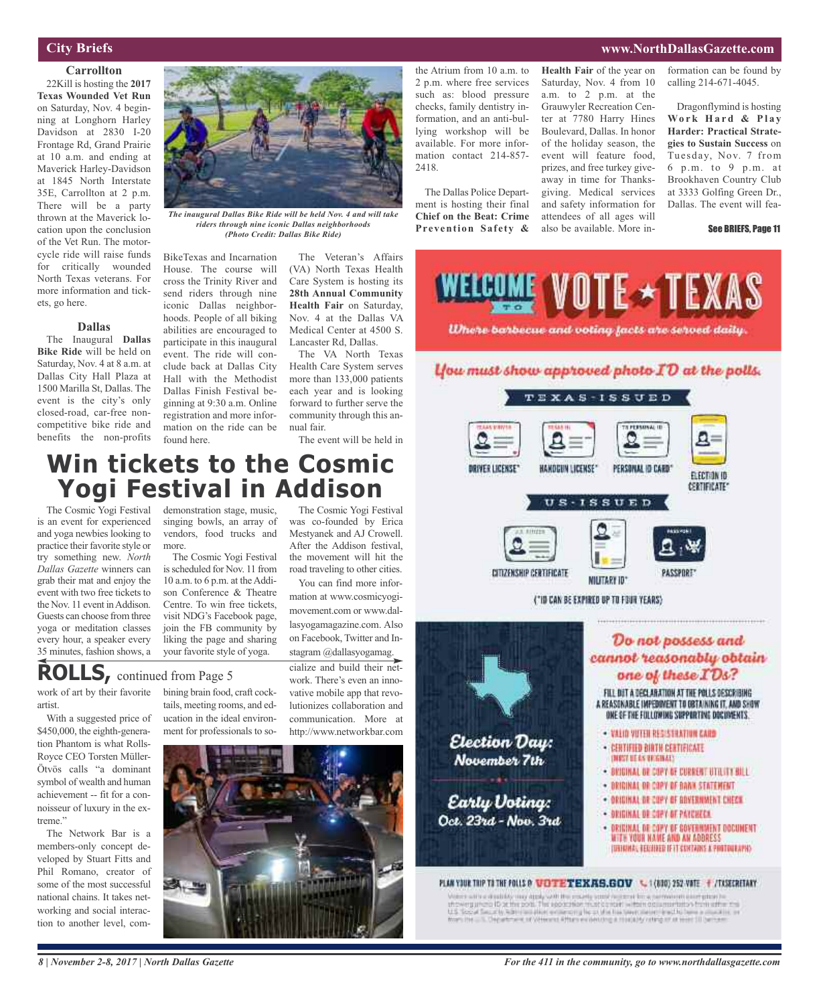#### **City Briefs**

#### **Carrollton**

22Kill is hosting the **2017 Texas Wounded Vet Run** on Saturday, Nov. 4 beginning at Longhorn Harley Davidson at 2830 I-20 Frontage Rd, Grand Prairie at 10 a.m. and ending at Maverick Harley-Davidson at 1845 North Interstate 35E, Carrollton at 2 p.m. There will be a party thrown at the Maverick location upon the conclusion of the Vet Run. The motorcycle ride will raise funds for critically wounded North Texas veterans. For more information and tickets, go here.

#### **Dallas**

The Inaugural **Dallas Bike Ride** will be held on Saturday, Nov. 4 at 8 a.m. at Dallas City Hall Plaza at 1500 Marilla St, Dallas. The event is the city's only closed-road, car-free noncompetitive bike ride and benefits the non-profits



*The inaugural Dallas Bike Ride will be held Nov. 4 and will take riders through nine iconic Dallas neighborhoods (Photo Credit: Dallas Bike Ride)*

BikeTexas and Incarnation House. The course will cross the Trinity River and send riders through nine iconic Dallas neighborhoods. People of all biking abilities are encouraged to participate in this inaugural event. The ride will conclude back at Dallas City Hall with the Methodist Dallas Finish Festival beginning at 9:30 a.m. Online registration and more information on the ride can be found here.

The Veteran's Affairs (VA) North Texas Health Care System is hosting its **28th Annual Community Health Fair** on Saturday, Nov. 4 at the Dallas VA Medical Center at 4500 S. Lancaster Rd, Dallas.

The VA North Texas Health Care System serves more than 133,000 patients each year and is looking forward to further serve the community through this annual fair.

The event will be held in

The Cosmic Yogi Festival was co-founded by Erica Mestyanek and AJ Crowell. After the Addison festival, the movement will hit the road traveling to other cities. You can find more information at www.cosmicyogimovement.com or www.dallasyogamagazine.com. Also on Facebook, Twitter and Instagram @dallasyogamag.

# **Win tickets to the Cosmic Yogi Festival in Addison**

The Cosmic Yogi Festival is an event for experienced and yoga newbies looking to practice their favorite style or try something new. *North Dallas Gazette* winners can grab their mat and enjoy the event with two free tickets to the Nov. 11 event in Addison. Guests can choose from three yoga or meditation classes every hour, a speaker every 35 minutes, fashion shows, a

demonstration stage, music, singing bowls, an array of vendors, food trucks and more.

The Cosmic Yogi Festival is scheduled for Nov. 11 from 10 a.m. to  $6$  p.m. at the Addison Conference & Theatre Centre. To win free tickets, visit NDG's Facebook page, join the FB community by liking the page and sharing your favorite style of yoga.

# **ROLLS,** continued from Page <sup>5</sup>

work of art by their favorite artist.

With a suggested price of \$450,000, the eighth-generation Phantom is what Rolls-Royce CEO Torsten Müller-Ötvös calls "a dominant symbol of wealth and human achievement -- fit for a connoisseur of luxury in the extreme."

The Network Bar is a members-only concept developed by Stuart Fitts and Phil Romano, creator of some of the most successful national chains. It takes networking and social interaction to another level, combining brain food, craft cocktails, meeting rooms, and education in the ideal environment for professionals to so-

cialize and build their network. There's even an innovative mobile app that revolutionizes collaboration and communication. More at http://www.networkbar.com



the Atrium from 10 a.m. to 2 p.m. where free services such as: blood pressure checks, family dentistry information, and an anti-bullying workshop will be available. For more information contact 214-857- 2418.

The Dallas Police Department is hosting their final **Chief on the Beat: Crime Prevention Safety &**

**Health Fair** of the year on Saturday, Nov. 4 from 10 a.m. to 2 p.m. at the Grauwyler Recreation Center at 7780 Harry Hines Boulevard, Dallas. In honor of the holiday season, the event will feature food, prizes, and free turkey giveaway in time for Thanksgiving. Medical services and safety information for attendees of all ages will also be available. More in-

formation can be found by calling 214-671-4045.

**www.NorthDallasGazette.com**

Dragonflymind is hosting **Wo r k H a r d & P l a y Harder: Practical Strategies to Sustain Success** on Tuesday, Nov. 7 from 6 p.m. to 9 p.m. at Brookhaven Country Club at 3333 Golfing Green Dr., Dallas. The event will fea-

#### See BRIEFS, Page 11



Where barbecue and voting facts are served daily.

#### lfou must show approved photo  $ID$  at the polls.



CITIZENSHIP CERTIFICATE



("ID CAN BE EXPIRED UP TO FOUR YEARS)



in with a disability may diply with the moving same region of fine, servicions excription in<br>weight and its at the post. The apparation must contact within determinant from withe the U.S. Security, S.S. (1993) and the complete of the bacterial of the United States and the complete of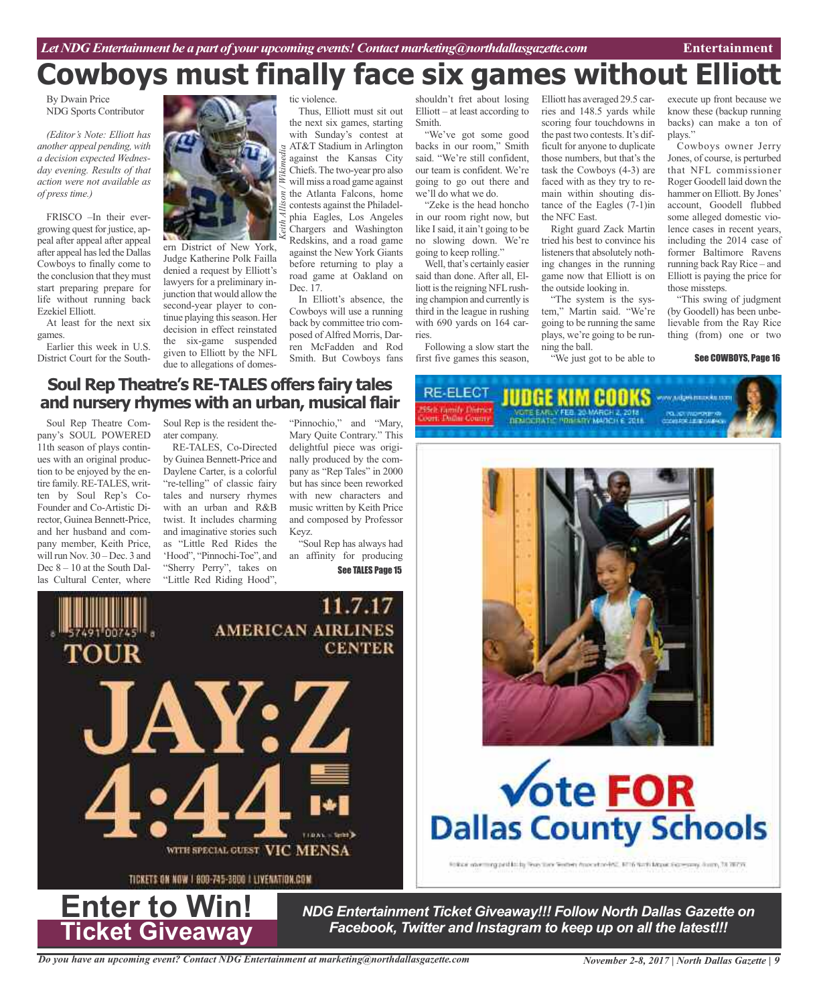# **Cowboys must finally face six games without Elliott**

By Dwain Price NDG Sports Contributor

*(Editor's Note: Elliott has another appeal pending, with a decision expected Wednesday evening. Results of that action were not available as of press time.)*

FRISCO –In their evergrowing quest for justice, appeal after appeal after appeal after appeal hasled the Dallas Cowboys to finally come to the conclusion that they must start preparing prepare for life without running back Ezekiel Elliott.

At least for the next six games.

Earlier this week in U.S. District Court for the South-



ern District of New York, Judge Katherine Polk Failla denied a request by Elliott's lawyers for a preliminary injunction that would allow the second-year player to continue playing this season. Her decision in effect reinstated the six-game suspended given to Elliott by the NFL due to allegations of domestic violence.

Thus, Elliott must sit out the next six games, starting with Sunday's contest at AT&T Stadium in Arlington against the Kansas City Chiefs.The two-year pro also will miss a road game against the Atlanta Falcons, home contests against the Philadelphia Eagles, Los Angeles Chargers and Washington Redskins, and a road game against the New York Giants before returning to play a road game at Oakland on Dec. 17.

In Elliott's absence, the Cowboys will use a running back by committee trio composed of Alfred Morris, Darren McFadden and Rod Smith. But Cowboys fans

shouldn't fret about losing Elliott – at least according to Smith.

"We've got some good backs in our room," Smith said. "We're still confident, our team is confident. We're going to go out there and we'll do what we do.

"Zeke is the head honcho in our room right now, but like I said, it ain't going to be no slowing down. We're going to keep rolling."

Well, that's certainly easier said than done. After all, Elliott is the reigning NFL rushing champion and currently is third in the league in rushing with 690 yards on 164 carries.

Following a slow start the first five games this season,

RE-ELECT

Elliott has averaged 29.5 carries and 148.5 yards while scoring four touchdowns in the past two contests. It's difficult for anyone to duplicate those numbers, but that's the task the Cowboys (4-3) are faced with as they try to remain within shouting distance of the Eagles (7-1)in the NFC East.

Right guard Zack Martin tried his best to convince his listeners that absolutely nothing changes in the running game now that Elliott is on the outside looking in.

"The system is the system," Martin said. "We're going to be running the same plays, we're going to be running the ball.

**DEMOCRATIC PROFESSIONARICH E SELB** 

"We just got to be able to

execute up front because know these (backup running backs) can make a ton of plays."

Cowboys owner Jerry Jones, of course, is perturbed that NFL commissioner Roger Goodell laid down the hammer on Elliott. By Jones' account, Goodell flubbed some alleged domestic violence cases in recent years, including the 2014 case of former Baltimore Ravens running back Ray Rice – and Elliott is paying the price for those missteps.

"This swing of judgment (by Goodell) has been unbelievable from the Ray Rice thing (from) one or two

#### See COWBOYS, Page 16

### **Soul Rep Theatre's RE-TALES offers fairy tales and nursery rhymes with an urban, musical flair**

Soul Rep Theatre Company's SOUL POWERED 11th season of plays continues with an original production to be enjoyed by the entire family. RE-TALES, written by Soul Rep's Co-Founder and Co-Artistic Director, Guinea Bennett-Price, and her husband and company member, Keith Price, will run Nov. 30 – Dec. 3 and Dec  $8 - 10$  at the South Dallas Cultural Center, where

Soul Rep is the resident theater company.

RE-TALES, Co-Directed by Guinea Bennett-Price and Daylene Carter, is a colorful "re-telling" of classic fairy tales and nursery rhymes with an urban and R&B twist. It includes charming and imaginative stories such as "Little Red Rides the 'Hood", "Pinnochi-Toe", and "Sherry Perry", takes on "Little Red Riding Hood",

"Pinnochio," and "Mary, Mary Quite Contrary." This delightful piece was originally produced by the company as "Rep Tales" in 2000 but has since been reworked with new characters and music written by Keith Price and composed by Professor Keyz.

"Soul Rep has always had an affinity for producing See TALES Page 15





# **Vote FOR Dallas County Schools**

Folker www.inggestionity Press they Senters Associated AS, 5016 North Mape Gasepany, Suice, 28 Withs

*NDG Entertainment Ticket Giveaway!!! Follow North Dallas Gazette on Facebook, Twitter and Instagram to keep up on all the latest!!!*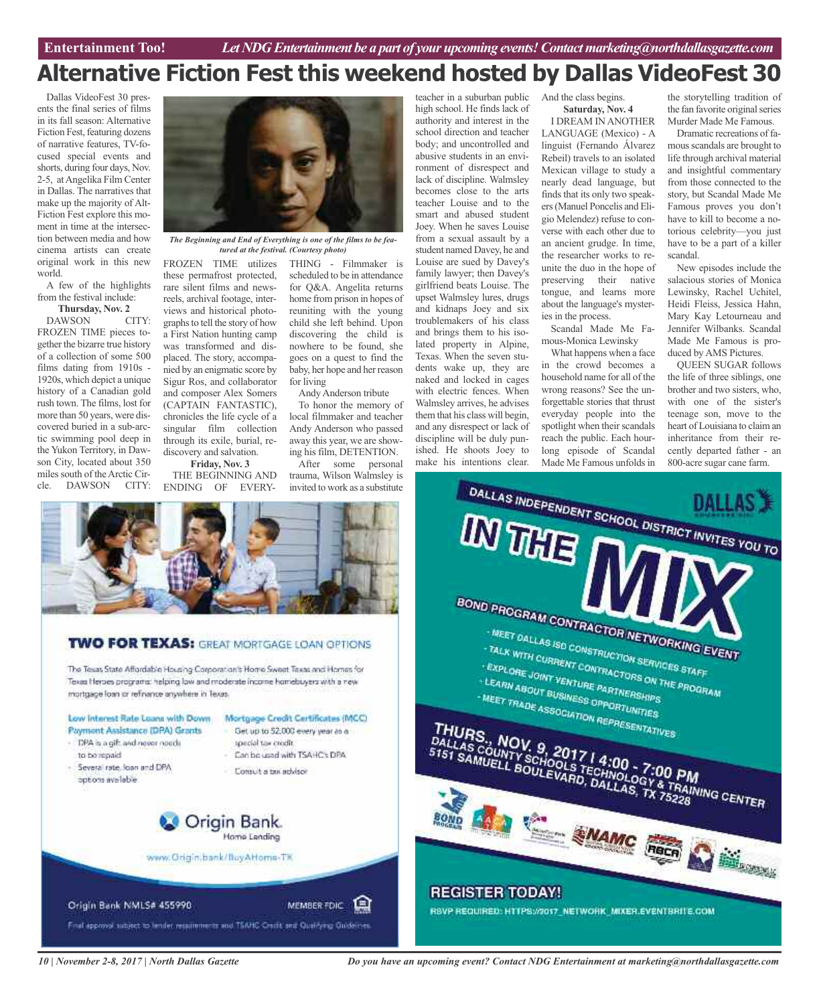# **Alternative Fiction Fest this weekend hosted by Dallas VideoFest 30**

Dallas VideoFest 30 presents the final series of films in its fall season: Alternative Fiction Fest, featuring dozens of narrative features, TV-focused special events and shorts, during four days, Nov. 2-5, atAngelika Film Center in Dallas. The narratives that make up the majority of Alt-Fiction Fest explore this moment in time at the intersection between media and how cinema artists can create original work in this new world.

A few of the highlights from the festival include:

**Thursday, Nov. 2** DAWSON CITY:

FROZEN TIME pieces together the bizarre true history of a collection of some 500 films dating from 1910s - 1920s, which depict a unique history of a Canadian gold rush town. The films, lost for more than 50 years, were discovered buried in a sub-arctic swimming pool deep in the Yukon Territory, in Dawson City, located about 350 miles south of the Arctic Circle. DAWSON CITY:



*The Beginning and End of Everything is one of the films to be featured at the festival. (Courtesy photo)*

these permafrost protected, rare silent films and newsreels, archival footage, interviews and historical photographsto tell the story of how a First Nation hunting camp was transformed and displaced. The story, accompanied by an enigmatic score by Sigur Ros, and collaborator and composer Alex Somers (CAPTAIN FANTASTIC), chronicles the life cycle of a singular film collection through its exile, burial, rediscovery and salvation.

**Friday, Nov. 3** THE BEGINNING AND ENDING OF EVERY-

FROZEN TIME utilizes THING - Filmmaker is scheduled to be in attendance for Q&A. Angelita returns home from prison in hopes of reuniting with the young child she left behind. Upon discovering the child is nowhere to be found, she goes on a quest to find the baby, her hope and her reason for living

Andy Anderson tribute

To honor the memory of local filmmaker and teacher Andy Anderson who passed away this year, we are showing his film, DETENTION.

After some personal trauma, Wilson Walmsley is invited to work as a substitute

teacher in a suburban public high school. He finds lack of authority and interest in the school direction and teacher body; and uncontrolled and abusive students in an environment of disrespect and lack of discipline. Walmsley becomes close to the arts teacher Louise and to the smart and abused student Joey. When he saves Louise from a sexual assault by a student named Davey, he and Louise are sued by Davey's family lawyer; then Davey's girlfriend beats Louise. The upset Walmsley lures, drugs and kidnaps Joey and six troublemakers of his class and brings them to his isolated property in Alpine, Texas. When the seven students wake up, they are naked and locked in cages with electric fences. When Walmsley arrives, he advises them that his class will begin, and any disrespect or lack of discipline will be duly punished. He shoots Joey to make his intentions clear.

#### And the class begins. **Saturday, Nov. 4**

I DREAM IN ANOTHER LANGUAGE (Mexico) - A linguist (Fernando Álvarez Rebeil) travels to an isolated Mexican village to study a nearly dead language, but finds that its only two speakers(Manuel Poncelis and Eligio Melendez) refuse to converse with each other due to an ancient grudge. In time, the researcher works to reunite the duo in the hope of preserving their native tongue, and learns more about the language's mysteries in the process.

Scandal Made Me Famous-Monica Lewinsky

What happens when a face in the crowd becomes a household name for all of the wrong reasons? See the unforgettable stories that thrust everyday people into the spotlight when their scandals reach the public. Each hourlong episode of Scandal Made Me Famous unfolds in

the storytelling tradition of the fan favorite original series Murder Made Me Famous.

Dramatic recreations of famousscandals are brought to life through archival material and insightful commentary from those connected to the story, but Scandal Made Me Famous proves you don't have to kill to become a notorious celebrity—you just have to be a part of a killer scandal.

New episodes include the salacious stories of Monica Lewinsky, Rachel Uchitel, Heidi Fleiss, Jessica Hahn, Mary Kay Letourneau and Jennifer Wilbanks. Scandal Made Me Famous is produced by AMS Pictures.

QUEEN SUGAR follows the life of three siblings, one brother and two sisters, who, with one of the sister's teenage son, move to the heart of Louisiana to claim an inheritance from their recently departed father - an 800-acre sugar cane farm.



### **TWO FOR TEXAS:** GREAT MORTGAGE LOAN OPTIONS

The Texas State Affordable Housing Corporation's Home Sweet Texas and Homes for Texas Herbes programs: helping low and moderate income homebuyers with a new mortgage loan or refinance anywhere in Texas.





*10 | November 2-8, 2017 | North Dallas Gazette*

*Do you have an upcoming event? Contact NDG Entertainment at marketing@northdallasgazette.com*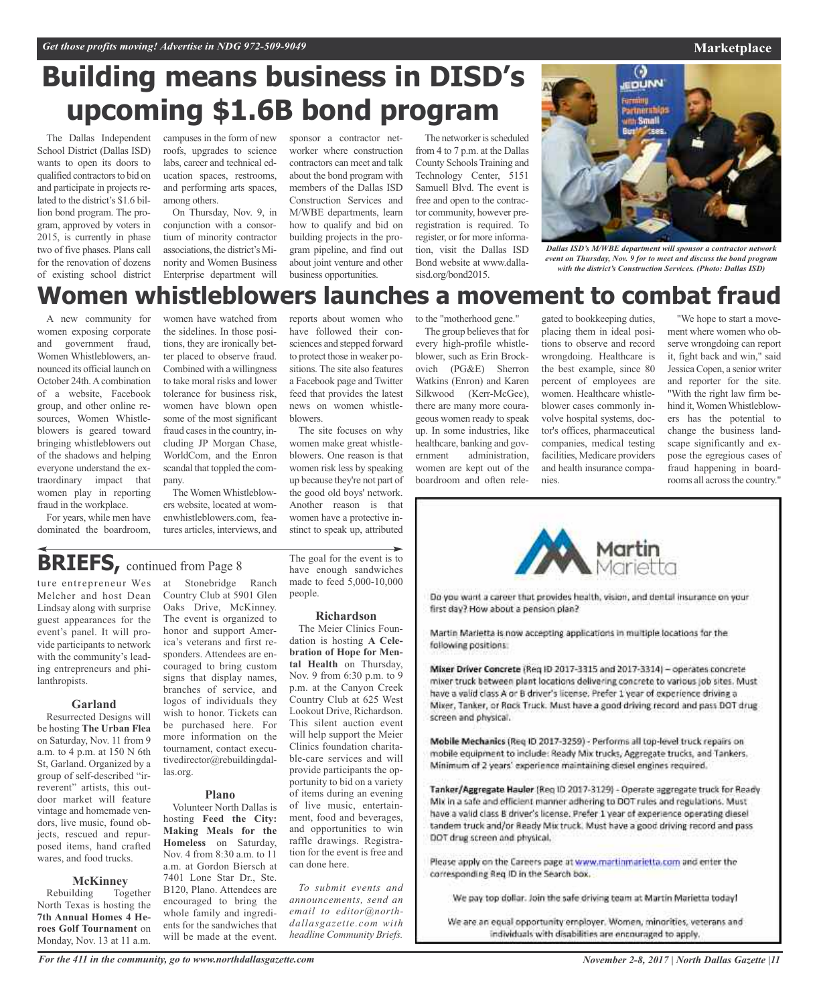# **Building means business in DISD's upcoming \$1.6B bond program**

The Dallas Independent School District (Dallas ISD) wants to open its doors to qualified contractors to bid on and participate in projects related to the district's \$1.6 billion bond program. The program, approved by voters in 2015, is currently in phase two of five phases. Plans call for the renovation of dozens of existing school district campuses in the form of new roofs, upgrades to science labs, career and technical education spaces, restrooms, and performing arts spaces, among others.

On Thursday, Nov. 9, in conjunction with a consortium of minority contractor associations, the district's Minority and Women Business Enterprise department will sponsor a contractor networker where construction contractors can meet and talk about the bond program with members of the Dallas ISD Construction Services and M/WBE departments, learn how to qualify and bid on building projects in the program pipeline, and find out about joint venture and other business opportunities.

The networker is scheduled from 4 to 7 p.m. at the Dallas County Schools Training and Technology Center, 5151 Samuell Blvd. The event is free and open to the contractor community, however preregistration is required. To register, or for more information, visit the Dallas ISD Bond website at www.dallasisd.org/bond2015.



*Dallas ISD's M/WBE department will sponsor a contractor network event on Thursday, Nov. 9 for to meet and discuss the bond program with the district's Construction Services. (Photo: Dallas ISD)*

# **Women whistleblowers launches a movement to combat fraud**

A new community for women exposing corporate and government fraud, Women Whistleblowers, announced its official launch on October 24th. A combination of a website, Facebook group, and other online resources, Women Whistleblowers is geared toward bringing whistleblowers out of the shadows and helping everyone understand the extraordinary impact that women play in reporting fraud in the workplace.

For years, while men have dominated the boardroom,

women have watched from the sidelines. In those positions, they are ironically better placed to observe fraud. Combined with a willingness to take moral risks and lower tolerance for business risk, women have blown open some of the most significant fraud cases in the country, including JP Morgan Chase, WorldCom, and the Enron scandal that toppled the company.

The Women Whistleblowers website, located at womenwhistleblowers.com, features articles, interviews, and reports about women who have followed their consciences and stepped forward to protect those in weaker positions. The site also features a Facebook page and Twitter feed that provides the latest news on women whistleblowers.

The site focuses on why women make great whistleblowers. One reason is that women risk less by speaking up because they're not part of the good old boys' network. Another reason is that women have a protective instinct to speak up, attributed

The group believes that for every high-profile whistleblower, such as Erin Brockovich (PG&E) Sherron Watkins (Enron) and Karen Silkwood (Kerr-McGee), there are many more courageous women ready to speak up. In some industries, like healthcare, banking and government administration, women are kept out of the boardroom and often rele-

to the "motherhood gene."

gated to bookkeeping duties, placing them in ideal positions to observe and record wrongdoing. Healthcare is the best example, since 80 percent of employees are women. Healthcare whistleblower cases commonly involve hospital systems, doctor's offices, pharmaceutical companies, medical testing facilities, Medicare providers and health insurance companies.

"We hope to start a movement where women who observe wrongdoing can report it, fight back and win," said JessicaCopen, a senior writer and reporter for the site. "With the right law firm behind it,WomenWhistleblowers has the potential to change the business landscape significantly and expose the egregious cases of fraud happening in boardrooms all across the country."



Do you want a career that provides health, vision, and dental insurance on your first day? How about a pension plan?

Martin Marietta is now accepting applications in multiple locations for the following positions:

Mixer Driver Concrete (Reg ID 2017-3315 and 2017-3314) - operates concrete mixer truck between plant locations delivering concrete to various job sites. Must have a valid class A or B driver's license. Prefer 1 year of experience driving a Mixer, Tanker, or Rock Truck. Must have a good driving record and pass DOT drugscreen and physical.

Mobile Mechanics (Req ID 2017-3259) - Performs all top-level truck repairs on mobile equipment to include: Ready Mix trucks, Aggregate trucks, and Tankers. Minimum of 2 years' experience maintaining diesel engines required.

Tanker/Aggregate Hauler [Req ID 2017-3129] - Operate aggregate truck for Ready Mix in a safe and efficient manner adhering to DOT rules and regulations. Must have a valid class B driver's license. Prefer 1 year of experience operating diesel tandem truck and/or Ready Mix truck. Must have a good driving record and pass DOT drug screen and physical,

Please apply on the Careers page at www.martinmarietta.com and enter the corresponding Reg ID in the Search box.

We pay top dollar. Join the safe driving team at Martin Marietta today!

We are an equal opportunity employer. Women, minorities, veterans and individuals with disabilities are encouraged to apply.

# **BRIEFS,** continued from Page <sup>8</sup>

ture entrepreneur Wes at Stonebridge Ranch Melcher and host Dean Lindsay along with surprise guest appearances for the event's panel. It will provide participants to network with the community's leading entrepreneurs and philanthropists.

#### **Garland**

Resurrected Designs will be hosting **The Urban Flea** on Saturday, Nov. 11 from 9 a.m. to 4 p.m. at 150 N 6th St, Garland. Organized by a group of self-described "irreverent" artists, this outdoor market will feature vintage and homemade vendors, live music, found objects, rescued and repurposed items, hand crafted wares, and food trucks.

**McKinney**<br>Iding Together Rebuilding North Texas is hosting the **7th Annual Homes 4 Heroes Golf Tournament** on Monday, Nov. 13 at 11 a.m.

Country Club at 5901 Glen Oaks Drive, McKinney. The event is organized to honor and support America's veterans and first responders. Attendees are encouraged to bring custom signs that display names, branches of service, and logos of individuals they wish to honor. Tickets can be purchased here. For more information on the tournament, contact executivedirector@rebuildingdallas.org.

#### **Plano**

Volunteer North Dallas is hosting **Feed the City: Making Meals for the Homeless** on Saturday, Nov. 4 from 8:30 a.m. to 11 a.m. at Gordon Biersch at 7401 Lone Star Dr., Ste. B120, Plano. Attendees are encouraged to bring the whole family and ingredients for the sandwiches that will be made at the event.

The goal for the event is to have enough sandwiches made to feed 5,000-10,000 people.

#### **Richardson**

The Meier Clinics Foundation is hosting **A Celebration of Hope for Mental Health** on Thursday, Nov. 9 from 6:30 p.m. to 9 p.m. at the Canyon Creek Country Club at 625 West Lookout Drive, Richardson. This silent auction event will help support the Meier Clinics foundation charitable-care services and will provide participants the opportunity to bid on a variety of items during an evening of live music, entertainment, food and beverages, and opportunities to win raffle drawings. Registration for the event is free and can done here.

*To submit events and announcements, send an email to editor@northdallasgazette.com with headline Community Briefs.*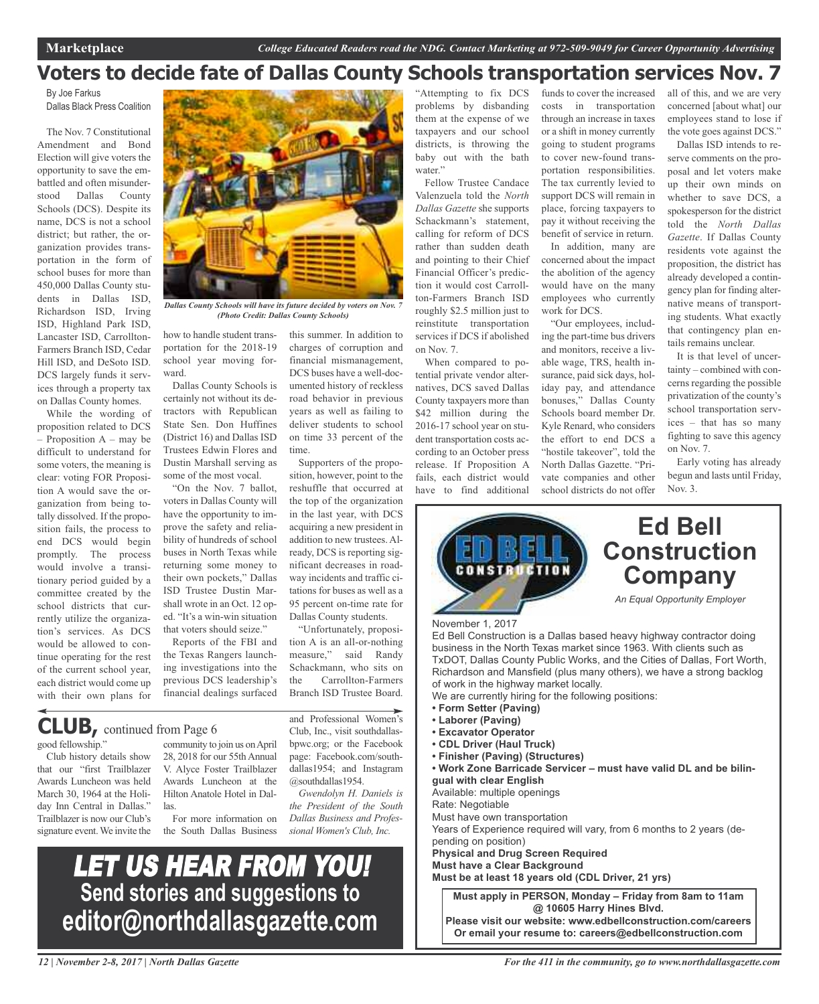## **Voters to decide fate of Dallas County Schools transportation services Nov. 7**

By Joe Farkus Dallas Black Press Coalition

The Nov. 7 Constitutional Amendment and Bond Election will give voters the opportunity to save the embattled and often misunderstood Dallas County Schools (DCS). Despite its name, DCS is not a school district; but rather, the organization provides transportation in the form of school buses for more than 450,000 Dallas County students in Dallas ISD, Richardson ISD, Irving ISD, Highland Park ISD, Lancaster ISD, Carrollton-Farmers Branch ISD, Cedar Hill ISD, and DeSoto ISD. DCS largely funds it services through a property tax on Dallas County homes.

While the wording of proposition related to DCS – Proposition A – may be difficult to understand for some voters, the meaning is clear: voting FOR Proposition A would save the organization from being totally dissolved. If the proposition fails, the process to end DCS would begin promptly. The process would involve a transitionary period guided by a committee created by the school districts that currently utilize the organization's services. As DCS would be allowed to continue operating for the rest of the current school year, each district would come up with their own plans for



*Dallas County Schools will have its future decided by voters on Nov. 7 (Photo Credit: Dallas County Schools)*

how to handle student transportation for the 2018-19 school year moving forward.

Dallas County Schools is certainly not without its detractors with Republican State Sen. Don Huffines (District 16) and Dallas ISD Trustees Edwin Flores and Dustin Marshall serving as some of the most vocal.

"On the Nov. 7 ballot, voters in Dallas County will have the opportunity to improve the safety and reliability of hundreds of school buses in North Texas while returning some money to their own pockets," Dallas ISD Trustee Dustin Marshall wrote in an Oct. 12 oped. "It's a win-win situation that voters should seize."

Reports of the FBI and the Texas Rangers launching investigations into the previous DCS leadership's financial dealings surfaced

this summer. In addition to charges of corruption and financial mismanagement, DCS buses have a well-documented history of reckless road behavior in previous years as well as failing to deliver students to school on time 33 percent of the time.

Supporters of the proposition, however, point to the reshuffle that occurred at the top of the organization in the last year, with DCS acquiring a new president in addition to new trustees. Already, DCS is reporting significant decreases in roadway incidents and traffic citations for buses as well as a 95 percent on-time rate for Dallas County students.

"Unfortunately, proposition A is an all-or-nothing measure," said Randy Schackmann, who sits on the Carrollton-Farmers Branch ISD Trustee Board.

and Professional Women's Club, Inc., visit southdallasbpwc.org; or the Facebook page: Facebook.com/southdallas1954; and Instagram

*Gwendolyn H. Daniels is the President of the South Dallas Business and Professional Women's Club, Inc.*

@southdallas1954.

## **CLUB,** continued from Page <sup>6</sup>

good fellowship."

Club history details show that our "first Trailblazer Awards Luncheon was held March 30, 1964 at the Holiday Inn Central in Dallas." Trailblazer is now our Club's signature event.We invite the

community to join us onApril 28, 2018 for our 55th Annual V. Alyce Foster Trailblazer Awards Luncheon at the Hilton Anatole Hotel in Dallas.

For more information on the South Dallas Business

"Attempting to fix DCS problems by disbanding them at the expense of we taxpayers and our school districts, is throwing the baby out with the bath water."

Fellow Trustee Candace Valenzuela told the *North Dallas Gazette* she supports Schackmann's statement, calling for reform of DCS rather than sudden death and pointing to their Chief Financial Officer's prediction it would cost Carrollton-Farmers Branch ISD roughly \$2.5 million just to reinstitute transportation services if DCS if abolished on Nov. 7.

When compared to potential private vendor alternatives, DCS saved Dallas County taxpayers more than \$42 million during the 2016-17 school year on student transportation costs according to an October press release. If Proposition A fails, each district would have to find additional

funds to cover the increased costs in transportation through an increase in taxes or a shift in money currently going to student programs to cover new-found transportation responsibilities. The tax currently levied to support DCS will remain in place, forcing taxpayers to pay it without receiving the benefit of service in return.

In addition, many are concerned about the impact the abolition of the agency would have on the many employees who currently work for DCS.

"Our employees, including the part-time bus drivers and monitors, receive a livable wage, TRS, health insurance, paid sick days, holiday pay, and attendance bonuses," Dallas County Schools board member Dr. Kyle Renard, who considers the effort to end DCS a "hostile takeover", told the North Dallas Gazette. "Private companies and other school districts do not offer all of this, and we are very concerned [about what] our employees stand to lose if the vote goes against DCS."

Dallas ISD intends to reserve comments on the proposal and let voters make up their own minds on whether to save DCS, a spokesperson for the district told the *North Dallas Gazette*. If Dallas County residents vote against the proposition, the district has already developed a contingency plan for finding alternative means of transporting students. What exactly that contingency plan entails remains unclear.

It is that level of uncertainty – combined with concerns regarding the possible privatization of the county's school transportation services – that has so many fighting to save this agency on Nov. 7.

Early voting has already begun and lasts until Friday, Nov. 3.



**@ 10605 Harry Hines Blvd. Please visit our website: www.edbellconstruction.com/careers Or email your resume to: careers@edbellconstruction.com**

LET US HEAR FROM YOU! **Send stories and suggestions to editor@northdallasgazette.com**

*12 | November 2-8, 2017 | North Dallas Gazette*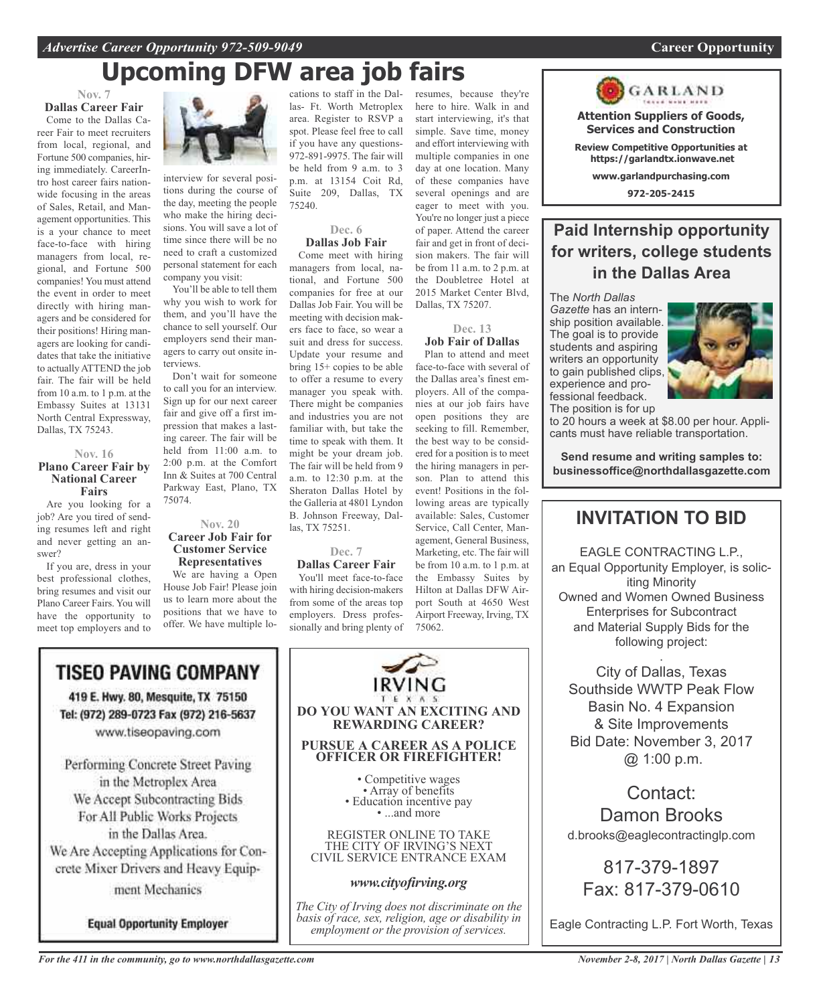# **Upcoming DFW area job fairs**

#### **Nov. 7 Dallas Career Fair**

Come to the Dallas Career Fair to meet recruiters from local, regional, and Fortune 500 companies, hiring immediately. CareerIntro host career fairs nationwide focusing in the areas of Sales, Retail, and Management opportunities. This is a your chance to meet face-to-face with hiring managers from local, regional, and Fortune 500 companies! You must attend the event in order to meet directly with hiring managers and be considered for their positions! Hiring managers are looking for candidates that take the initiative to actually ATTEND the job fair. The fair will be held from 10 a.m. to 1 p.m. at the Embassy Suites at 13131 North Central Expressway, Dallas, TX 75243.

#### **Nov. 16 Plano Career Fair by National Career Fairs**

Are you looking for a job? Are you tired of sending resumes left and right and never getting an answer?

If you are, dress in your best professional clothes, bring resumes and visit our Plano Career Fairs. You will have the opportunity to meet top employers and to



interview for several positions during the course of the day, meeting the people who make the hiring decisions. You will save a lot of time since there will be no need to craft a customized personal statement for each company you visit:

You'll be able to tell them why you wish to work for them, and you'll have the chance to sell yourself. Our employers send their managers to carry out onsite interviews.

Don't wait for someone to call you for an interview. Sign up for our next career fair and give off a first impression that makes a lasting career. The fair will be held from 11:00 a.m. to 2:00 p.m. at the Comfort Inn & Suites at 700 Central Parkway East, Plano, TX 75074.

#### **Nov. 20 Career Job Fair for Customer Service Representatives**

We are having a Open House Job Fair! Please join us to learn more about the positions that we have to offer. We have multiple lo-

cations to staff in the Dallas- Ft. Worth Metroplex area. Register to RSVP a spot. Please feel free to call if you have any questions-972-891-9975. The fair will be held from 9 a.m. to 3 p.m. at 13154 Coit Rd, Suite 209, Dallas, TX 75240.

#### **Dec. 6 Dallas Job Fair**

Come meet with hiring managers from local, national, and Fortune 500 companies for free at our Dallas Job Fair. You will be meeting with decision makers face to face, so wear a suit and dress for success. Update your resume and bring 15+ copies to be able to offer a resume to every manager you speak with. There might be companies and industries you are not familiar with, but take the time to speak with them. It might be your dream job. The fair will be held from 9 a.m. to 12:30 p.m. at the Sheraton Dallas Hotel by the Galleria at 4801 Lyndon B. Johnson Freeway, Dallas, TX 75251.

#### **Dec. 7 Dallas Career Fair** You'll meet face-to-face

with hiring decision-makers from some of the areas top employers. Dress professionally and bring plenty of resumes, because they're here to hire. Walk in and start interviewing, it's that simple. Save time, money and effort interviewing with multiple companies in one day at one location. Many of these companies have several openings and are eager to meet with you. You're no longer just a piece of paper. Attend the career fair and get in front of decision makers. The fair will be from 11 a.m. to 2 p.m. at the Doubletree Hotel at 2015 Market Center Blvd, Dallas, TX 75207.

**Dec. 13 Job Fair of Dallas**

#### Plan to attend and meet face-to-face with several of the Dallas area's finest employers. All of the companies at our job fairs have open positions they are seeking to fill. Remember, the best way to be considered for a position is to meet the hiring managers in person. Plan to attend this event! Positions in the following areas are typically available: Sales, Customer Service, Call Center, Management, General Business, Marketing, etc. The fair will be from 10 a.m. to 1 p.m. at the Embassy Suites by Hilton at Dallas DFW Airport South at 4650 West Airport Freeway, Irving, TX 75062.

GARLAND **Attention Suppliers of Goods, Services and Construction Review Competitive Opportunities at https://garlandtx.ionwave.net**

**www.garlandpurchasing.com**

**972-205-2415**

### **Paid Internship opportunity for writers, college students in the Dallas Area**

The *North Dallas Gazette* has an internship position available. The goal is to provide students and aspiring writers an opportunity to gain published clips, experience and professional feedback. The position is for up



to 20 hours a week at \$8.00 per hour. Applicants must have reliable transportation.

**Send resume and writing samples to: businessoffice@northdallasgazette.com**

### **INVITATION TO BID**

EAGLE CONTRACTING L.P., an Equal Opportunity Employer, is soliciting Minority Owned and Women Owned Business Enterprises for Subcontract and Material Supply Bids for the following project:

. City of Dallas, Texas Southside WWTP Peak Flow Basin No. 4 Expansion & Site Improvements Bid Date: November 3, 2017 @ 1:00 p.m.

Contact: Damon Brooks d.brooks@eaglecontractinglp.com

817-379-1897 Fax: 817-379-0610

Eagle Contracting L.P. Fort Worth, Texas

We Accept Subcontracting Bids For All Public Works Projects in the Dallas Area. We Are Accepting Applications for Con-

crete Mixer Drivers and Heavy Equipment Mechanics

**TISEO PAVING COMPANY** 

419 E. Hwy. 80, Mesquite, TX 75150 Tel: (972) 289-0723 Fax (972) 216-5637 www.tiseopaving.com

Performing Concrete Street Paving in the Metroplex Area

**Equal Opportunity Employer** 

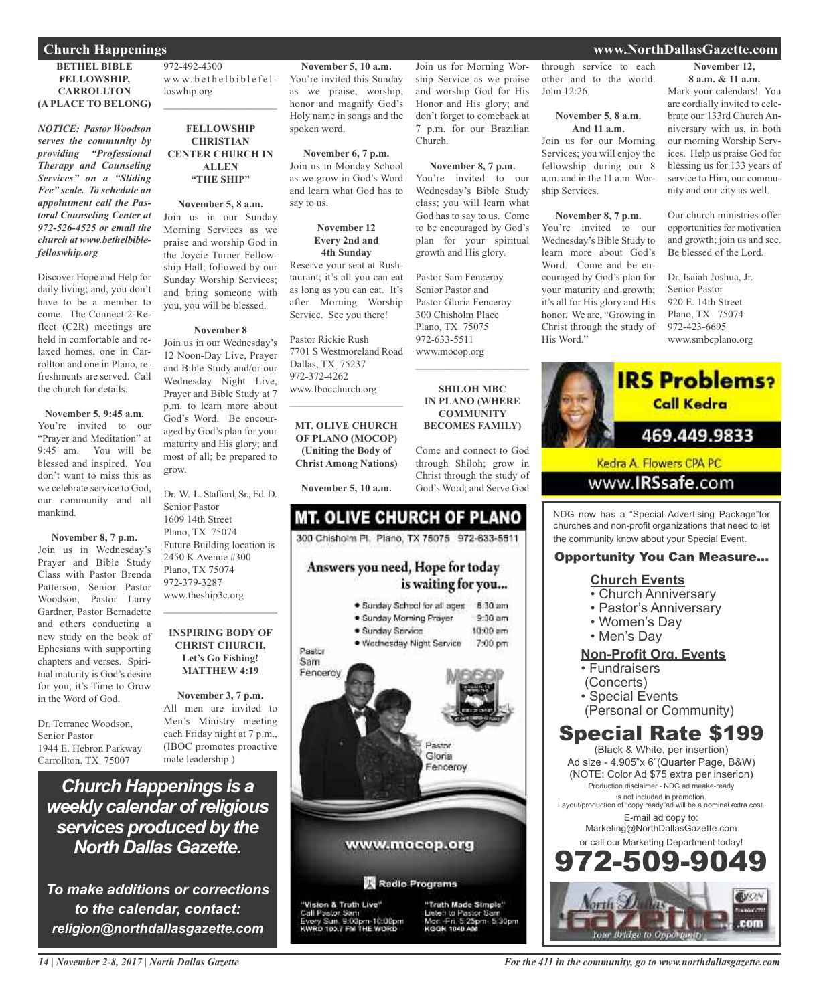#### **Church Happenings www.NorthDallasGazette.com**

#### **BETHEL BIBLE FELLOWSHIP, CARROLLTON (A PLACE TO BELONG)**

*NOTICE: Pastor Woodson serves the community by providing "Professional Therapy and Counseling Services" on a "Sliding Fee" scale. To schedule an appointment call the Pastoral Counseling Center at 972-526-4525 or email the church at www.bethelbiblefelloswhip.org*

Discover Hope and Help for daily living; and, you don't have to be a member to come. The Connect-2-Reflect (C2R) meetings are held in comfortable and relaxed homes, one in Carrollton and one in Plano, refreshments are served. Call the church for details.

**November 5, 9:45 a.m.** You're invited to our "Prayer and Meditation" at 9:45 am. You will be blessed and inspired. You don't want to miss this as we celebrate service to God our community and all mankind.

#### **November 8, 7 p.m.**

Join us in Wednesday's Prayer and Bible Study Class with Pastor Brenda Patterson, Senior Pastor Woodson, Pastor Larry Gardner, Pastor Bernadette and others conducting a new study on the book of Ephesians with supporting chapters and verses. Spiritual maturity is God's desire for you; it's Time to Grow in the Word of God.

Dr. Terrance Woodson, Senior Pastor 1944 E. Hebron Parkway Carrollton, TX 75007

972-492-4300 www.bethelbiblefelloswhip.org  $\mathcal{L}_\text{max}$  , which is a set of the set of the set of the set of the set of the set of the set of the set of the set of the set of the set of the set of the set of the set of the set of the set of the set of the set of

#### **FELLOWSHIP CHRISTIAN CENTER CHURCH IN ALLEN "THE SHIP"**

**November 5, 8 a.m.** Join us in our Sunday Morning Services as we praise and worship God in the Joycie Turner Fellowship Hall; followed by our Sunday Worship Services; and bring someone with you, you will be blessed.

#### **November 8**

Join us in our Wednesday's 12 Noon-Day Live, Prayer and Bible Study and/or our Wednesday Night Live, Prayer and Bible Study at 7 p.m. to learn more about God's Word. Be encouraged by God's plan for your maturity and His glory; and most of all; be prepared to grow.

Dr. W. L. Stafford, Sr., Ed. D. Senior Pastor 1609 14th Street Plano, TX 75074 Future Building location is 2450 K Avenue #300 Plano, TX 75074 972-379-3287 www.theship3c.org

 $\mathcal{L}_\text{max}$  , which is a set of the set of the set of the set of the set of the set of the set of the set of the set of the set of the set of the set of the set of the set of the set of the set of the set of the set of

#### **INSPIRING BODY OF CHRIST CHURCH, Let's Go Fishing! MATTHEW 4:19**

**November 3, 7 p.m.** All men are invited to Men's Ministry meeting each Friday night at 7 p.m., (IBOC promotes proactive male leadership.)

*Church Happenings is a weekly calendar ofreligious services produced by the North Dallas Gazette.*

*To make additions or corrections to the calendar, contact: religion@northdallasgazette.com*

**November 5, 10 a.m.** You're invited this Sunday as we praise, worship, honor and magnify God's Holy name in songs and the spoken word.

**November 6, 7 p.m.** Join us in Monday School as we grow in God's Word and learn what God has to say to us.

#### **November 12 Every 2nd and 4th Sunday**

Reserve your seat at Rushtaurant; it's all you can eat as long as you can eat. It's after Morning Worship Service. See you there!

Pastor Rickie Rush 7701 S Westmoreland Road Dallas, TX 75237 972-372-4262 www.Ibocchurch.org  $\overline{\phantom{a}}$  , which is a set of the set of the set of the set of the set of the set of the set of the set of the set of the set of the set of the set of the set of the set of the set of the set of the set of the set of th

**MT. OLIVE CHURCH OF PLANO (MOCOP) (Uniting the Body of Christ Among Nations)**

**November 5, 10 a.m.**

#### **MT. OLIVE CHURCH OF PLANO** 300 Chishoim Pl. Plano, TX 75075 972-633-5511 Answers you need, Hope for today is waiting for you... · Sunday School for all ages 8:30 am · Sunday Morning Prayer  $9-30$  am · Sunday Service  $10:00$  am



Radio Programs

'Vision & Truth Live" Call Pastor Sam<br>Every Sun, 9:00pm-10:00pm<br>KWRD 103.7 FM THE WORD

"Truth Made Simple" to Pastor S<br>in: 5:25pm 5:30pm KODN 1040 AF

through service to each other and to the world. John 12:26.

Join us for Morning Worship Service as we praise and worship God for His Honor and His glory; and don't forget to comeback at 7 p.m. for our Brazilian

**November 8, 7 p.m.** You're invited to our Wednesday's Bible Study class; you will learn what God has to say to us. Come to be encouraged by God's plan for your spiritual growth and His glory.

Pastor Sam Fenceroy Senior Pastor and Pastor Gloria Fenceroy 300 Chisholm Place Plano, TX 75075 972-633-5511 www.mocop.org

 $\overline{\phantom{a}}$  , and the set of the set of the set of the set of the set of the set of the set of the set of the set of the set of the set of the set of the set of the set of the set of the set of the set of the set of the s

**SHILOH MBC IN PLANO (WHERE COMMUNITY BECOMES FAMILY)**

Come and connect to God through Shiloh; grow in Christ through the study of God's Word; and Serve God

Church.

#### **November 5, 8 a.m. And 11 a.m.**

Join us for our Morning Services; you will enjoy the fellowship during our 8 a.m. and in the 11 a.m. Worship Services.

#### **November 8, 7 p.m.**

You're invited to our Wednesday's Bible Study to learn more about God's Word. Come and be encouraged by God's plan for your maturity and growth; it's all for His glory and His honor. We are, "Growing in Christ through the study of His Word."

**November 12, 8 a.m. & 11 a.m.**

Mark your calendars! You are cordially invited to celebrate our 133rd Church Anniversary with us, in both our morning Worship Services. Help us praise God for blessing us for 133 years of service to Him, our community and our city as well.

Our church ministries offer opportunities for motivation and growth; join us and see. Be blessed of the Lord.

Dr. Isaiah Joshua, Jr. Senior Pastor 920 E. 14th Street Plano, TX 75074 972-423-6695 www.smbcplano.org



NDG now has a "Special Advertising Package"for churches and non-profit organizations that need to let the community know about your Special Event.

#### Opportunity You Can Measure...

#### **Church Events**

- Church Anniversary
- Pastor's Anniversary
- Women's Day
- Men's Day

#### **Non-Profit Org. Events**

- Fundraisers
- (Concerts)
- Special Events
- (Personal or Community)

### Special Rate \$199

(Black & White, per insertion) Ad size - 4.905"x 6"(Quarter Page, B&W) (NOTE: Color Ad \$75 extra per inserion) Production disclaimer - NDG ad meake-ready is not included in promotion. Layout/production of "copy ready"ad will be a nominal extra cost. E-mail ad copy to: Marketing@NorthDallasGazette.com or call our Marketing Department today! 2.509.9



*14 | November 2-8, 2017 | North Dallas Gazette*

#### *For the 411 in the community, go to www.northdallasgazette.com*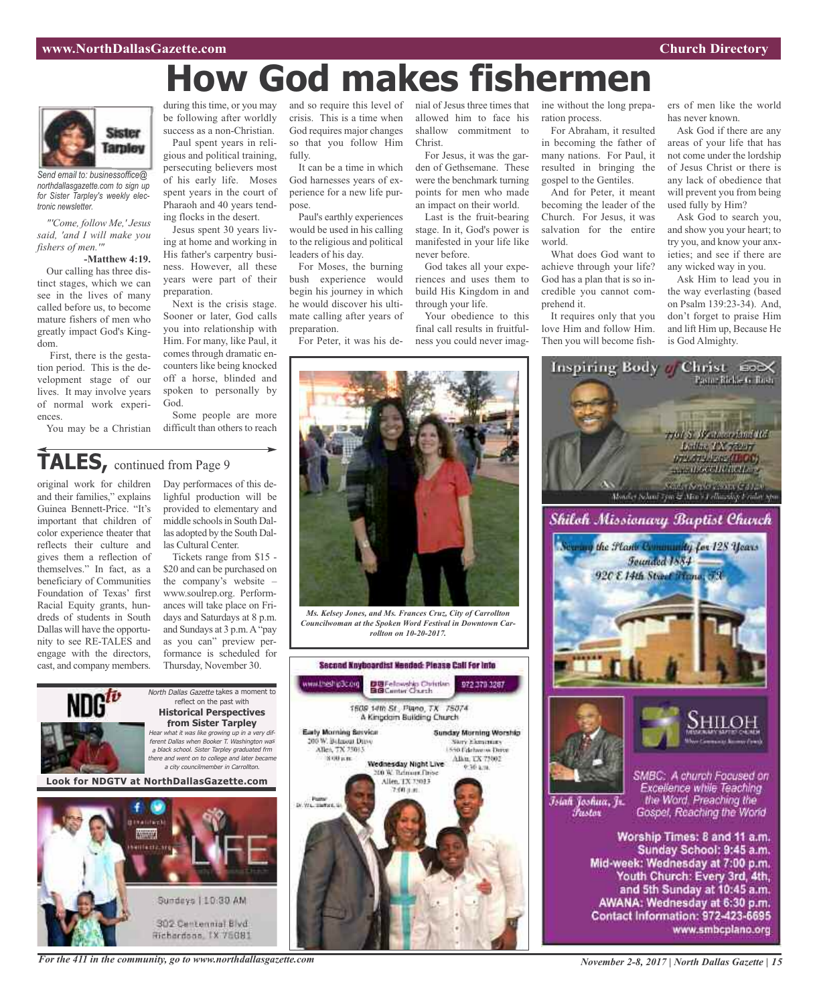# **How God makes fishermen**



*Send email to: businessoffice@ northdallasgazette.com to sign up for Sister Tarpley's weekly electronic newsletter.*

*"'Come, follow Me,' Jesus said, 'and I will make you fishers of men.'"*

#### **-Matthew 4:19.**

Our calling has three distinct stages, which we can see in the lives of many called before us, to become mature fishers of men who greatly impact God's Kingdom.

First, there is the gestation period. This is the development stage of our lives. It may involve years of normal work experiences.

You may be a Christian

during this time, or you may be following after worldly success as a non-Christian. Paul spent years in religious and political training, persecuting believers most of his early life. Moses spent years in the court of Pharaoh and 40 years tend-

ing flocks in the desert. Jesus spent 30 years living at home and working in His father's carpentry business. However, all these years were part of their preparation.

Next is the crisis stage. Sooner or later, God calls you into relationship with Him. For many, like Paul, it comes through dramatic encounters like being knocked off a horse, blinded and spoken to personally by God.

Some people are more difficult than others to reach

**TALES,** continued from Page <sup>9</sup>

original work for children and their families," explains Guinea Bennett-Price. "It's important that children of color experience theater that reflects their culture and gives them a reflection of themselves." In fact, as a beneficiary of Communities Foundation of Texas' first Racial Equity grants, hundreds of students in South Dallas will have the opportunity to see RE-TALES and engage with the directors, cast, and company members.

Day performaces of this delighful production will be provided to elementary and middle schools in South Dallas adopted by the South Dallas Cultural Center.

Tickets range from \$15 - \$20 and can be purchased on the company's website – www.soulrep.org. Performances will take place on Fridays and Saturdays at 8 p.m. and Sundays at 3 p.m.A"pay as you can" preview performance is scheduled for Thursday, November 30.



*For the 411 in the community, go to www.northdallasgazette.com*

and so require this level of nial of Jesus three times that crisis. This is a time when God requires major changes so that you follow Him fully.

It can be a time in which God harnesses years of experience for a new life purpose.

Paul's earthly experiences would be used in his calling to the religious and political leaders of his day.

For Moses, the burning bush experience would begin his journey in which he would discover his ultimate calling after years of preparation.

For Peter, it was his de-

allowed him to face his shallow commitment to Christ.

For Jesus, it was the garden of Gethsemane. These were the benchmark turning points for men who made an impact on their world.

Last is the fruit-bearing stage. In it, God's power is manifested in your life like never before.

God takes all your experiences and uses them to build His Kingdom in and through your life.

Your obedience to this final call results in fruitfulness you could never imagine without the long preparation process.

For Abraham, it resulted in becoming the father of many nations. For Paul, it resulted in bringing the gospel to the Gentiles.

And for Peter, it meant becoming the leader of the Church. For Jesus, it was salvation for the entire world.

What does God want to achieve through your life? God has a plan that is so incredible you cannot comprehend it.

It requires only that you love Him and follow Him. Then you will become fishers of men like the world has never known.

Ask God if there are any areas of your life that has not come under the lordship of Jesus Christ or there is any lack of obedience that will prevent you from being used fully by Him?

Ask God to search you, and show you your heart; to try you, and know your anxieties; and see if there are any wicked way in you.

Ask Him to lead you in the way everlasting (based on Psalm 139:23-34). And, don't forget to praise Him and lift Him up, Because He is God Almighty.



*Ms. Kelsey Jones, and Ms. Frances Cruz, City of Carrollton Councilwoman at the Spoken Word Festival in Downtown Carrollton on 10-20-2017.*